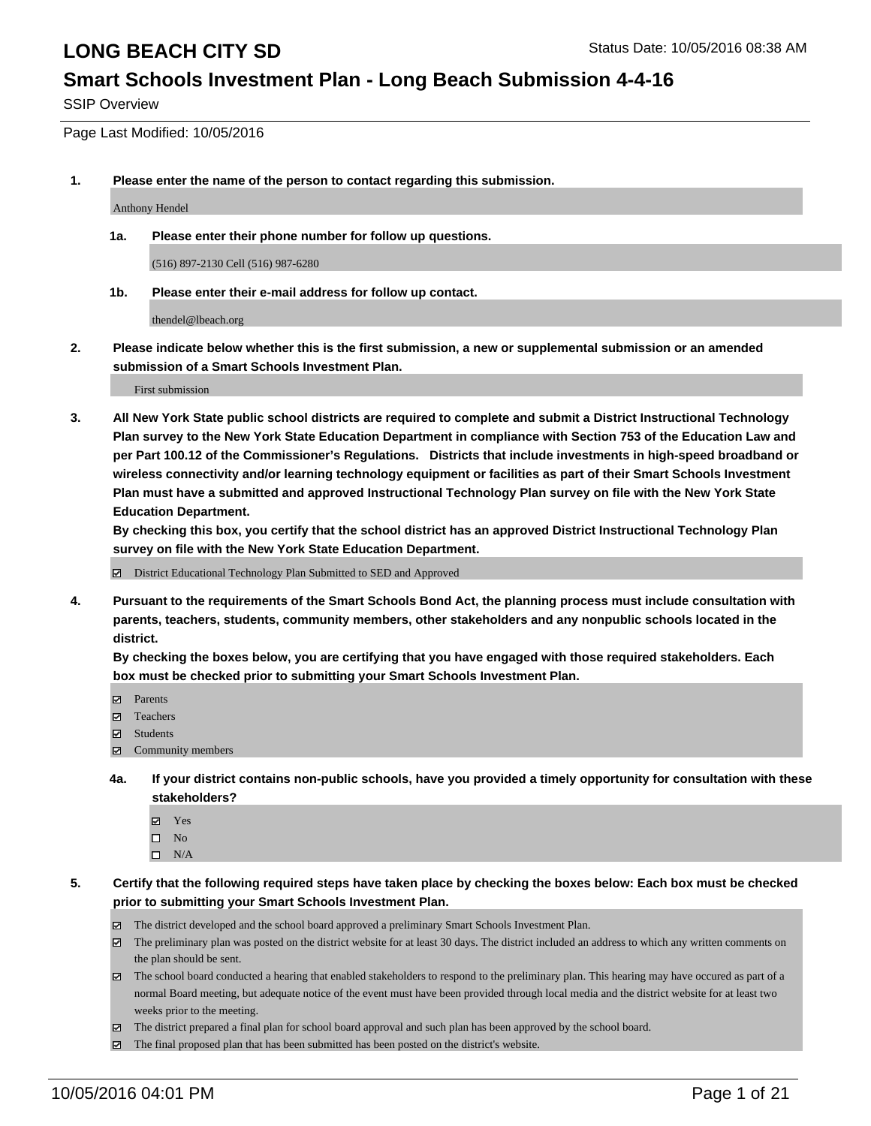### **Smart Schools Investment Plan - Long Beach Submission 4-4-16**

SSIP Overview

Page Last Modified: 10/05/2016

**1. Please enter the name of the person to contact regarding this submission.**

Anthony Hendel

**1a. Please enter their phone number for follow up questions.**

(516) 897-2130 Cell (516) 987-6280

**1b. Please enter their e-mail address for follow up contact.**

thendel@lbeach.org

**2. Please indicate below whether this is the first submission, a new or supplemental submission or an amended submission of a Smart Schools Investment Plan.**

First submission

**3. All New York State public school districts are required to complete and submit a District Instructional Technology Plan survey to the New York State Education Department in compliance with Section 753 of the Education Law and per Part 100.12 of the Commissioner's Regulations. Districts that include investments in high-speed broadband or wireless connectivity and/or learning technology equipment or facilities as part of their Smart Schools Investment Plan must have a submitted and approved Instructional Technology Plan survey on file with the New York State Education Department.** 

**By checking this box, you certify that the school district has an approved District Instructional Technology Plan survey on file with the New York State Education Department.**

District Educational Technology Plan Submitted to SED and Approved

**4. Pursuant to the requirements of the Smart Schools Bond Act, the planning process must include consultation with parents, teachers, students, community members, other stakeholders and any nonpublic schools located in the district.** 

**By checking the boxes below, you are certifying that you have engaged with those required stakeholders. Each box must be checked prior to submitting your Smart Schools Investment Plan.**

- Parents
- Teachers
- $\boxtimes$  Students
- Community members
- **4a. If your district contains non-public schools, have you provided a timely opportunity for consultation with these stakeholders?**
	- Yes  $\square$  No
	- $\square$  N/A
- **5. Certify that the following required steps have taken place by checking the boxes below: Each box must be checked prior to submitting your Smart Schools Investment Plan.**
	- The district developed and the school board approved a preliminary Smart Schools Investment Plan.
	- The preliminary plan was posted on the district website for at least 30 days. The district included an address to which any written comments on the plan should be sent.
	- The school board conducted a hearing that enabled stakeholders to respond to the preliminary plan. This hearing may have occured as part of a normal Board meeting, but adequate notice of the event must have been provided through local media and the district website for at least two weeks prior to the meeting.
	- The district prepared a final plan for school board approval and such plan has been approved by the school board.
	- $\boxtimes$  The final proposed plan that has been submitted has been posted on the district's website.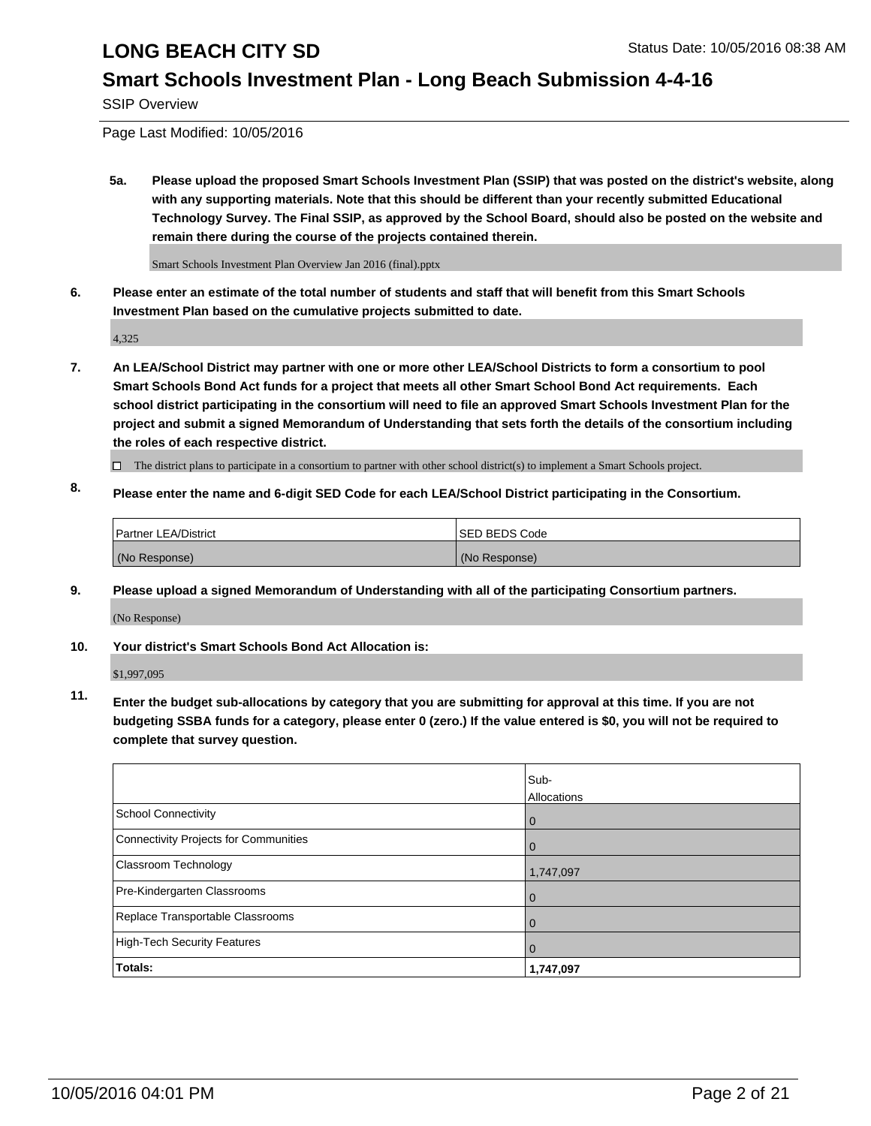#### **Smart Schools Investment Plan - Long Beach Submission 4-4-16**

SSIP Overview

Page Last Modified: 10/05/2016

**5a. Please upload the proposed Smart Schools Investment Plan (SSIP) that was posted on the district's website, along with any supporting materials. Note that this should be different than your recently submitted Educational Technology Survey. The Final SSIP, as approved by the School Board, should also be posted on the website and remain there during the course of the projects contained therein.**

Smart Schools Investment Plan Overview Jan 2016 (final).pptx

**6. Please enter an estimate of the total number of students and staff that will benefit from this Smart Schools Investment Plan based on the cumulative projects submitted to date.**

4,325

- **7. An LEA/School District may partner with one or more other LEA/School Districts to form a consortium to pool Smart Schools Bond Act funds for a project that meets all other Smart School Bond Act requirements. Each school district participating in the consortium will need to file an approved Smart Schools Investment Plan for the project and submit a signed Memorandum of Understanding that sets forth the details of the consortium including the roles of each respective district.**
	- $\Box$  The district plans to participate in a consortium to partner with other school district(s) to implement a Smart Schools project.
- **8. Please enter the name and 6-digit SED Code for each LEA/School District participating in the Consortium.**

| Partner LEA/District | <b>ISED BEDS Code</b> |
|----------------------|-----------------------|
| (No Response)        | (No Response)         |

**9. Please upload a signed Memorandum of Understanding with all of the participating Consortium partners.**

(No Response)

#### **10. Your district's Smart Schools Bond Act Allocation is:**

\$1,997,095

**11. Enter the budget sub-allocations by category that you are submitting for approval at this time. If you are not budgeting SSBA funds for a category, please enter 0 (zero.) If the value entered is \$0, you will not be required to complete that survey question.**

|                                       | Sub-<br>Allocations |
|---------------------------------------|---------------------|
| <b>School Connectivity</b>            | 0                   |
| Connectivity Projects for Communities |                     |
| <b>Classroom Technology</b>           | 1,747,097           |
| Pre-Kindergarten Classrooms           | $\Omega$            |
| Replace Transportable Classrooms      | $\Omega$            |
| High-Tech Security Features           | 0                   |
| Totals:                               | 1,747,097           |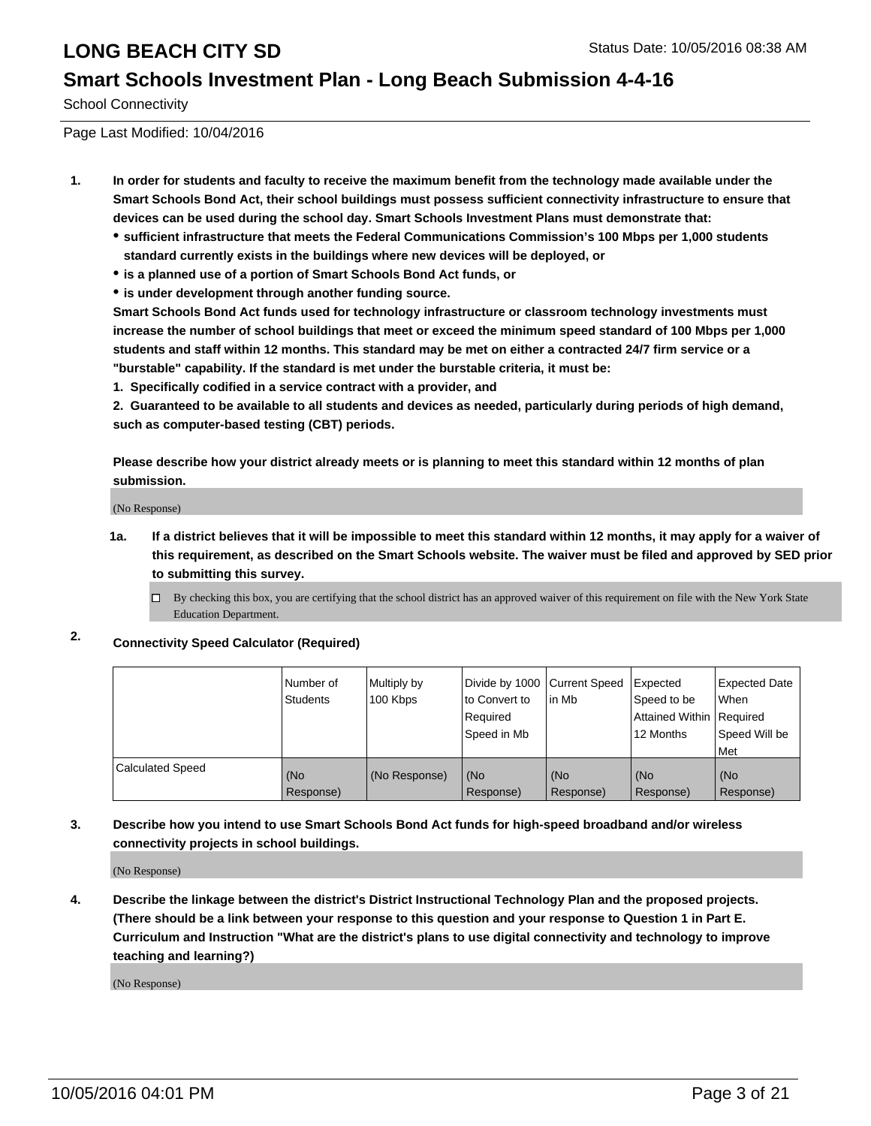#### **Smart Schools Investment Plan - Long Beach Submission 4-4-16**

School Connectivity

Page Last Modified: 10/04/2016

- **1. In order for students and faculty to receive the maximum benefit from the technology made available under the Smart Schools Bond Act, their school buildings must possess sufficient connectivity infrastructure to ensure that devices can be used during the school day. Smart Schools Investment Plans must demonstrate that:**
	- **sufficient infrastructure that meets the Federal Communications Commission's 100 Mbps per 1,000 students standard currently exists in the buildings where new devices will be deployed, or**
	- **is a planned use of a portion of Smart Schools Bond Act funds, or**
	- **is under development through another funding source.**

**Smart Schools Bond Act funds used for technology infrastructure or classroom technology investments must increase the number of school buildings that meet or exceed the minimum speed standard of 100 Mbps per 1,000 students and staff within 12 months. This standard may be met on either a contracted 24/7 firm service or a "burstable" capability. If the standard is met under the burstable criteria, it must be:**

**1. Specifically codified in a service contract with a provider, and**

**2. Guaranteed to be available to all students and devices as needed, particularly during periods of high demand, such as computer-based testing (CBT) periods.**

**Please describe how your district already meets or is planning to meet this standard within 12 months of plan submission.**

(No Response)

- **1a. If a district believes that it will be impossible to meet this standard within 12 months, it may apply for a waiver of this requirement, as described on the Smart Schools website. The waiver must be filed and approved by SED prior to submitting this survey.**
	- $\Box$  By checking this box, you are certifying that the school district has an approved waiver of this requirement on file with the New York State Education Department.
- **2. Connectivity Speed Calculator (Required)**

|                         | l Number of<br><b>Students</b> | Multiply by<br>100 Kbps | Divide by 1000 Current Speed<br>lto Convert to<br>Reauired<br>Speed in Mb | lin Mb           | Expected<br>Speed to be<br>Attained Within   Required<br>12 Months | <b>Expected Date</b><br><b>When</b><br>Speed Will be<br>l Met |
|-------------------------|--------------------------------|-------------------------|---------------------------------------------------------------------------|------------------|--------------------------------------------------------------------|---------------------------------------------------------------|
| <b>Calculated Speed</b> | (No<br>Response)               | (No Response)           | (No<br>Response)                                                          | (No<br>Response) | (No<br>Response)                                                   | l (No<br>Response)                                            |

#### **3. Describe how you intend to use Smart Schools Bond Act funds for high-speed broadband and/or wireless connectivity projects in school buildings.**

(No Response)

**4. Describe the linkage between the district's District Instructional Technology Plan and the proposed projects. (There should be a link between your response to this question and your response to Question 1 in Part E. Curriculum and Instruction "What are the district's plans to use digital connectivity and technology to improve teaching and learning?)**

(No Response)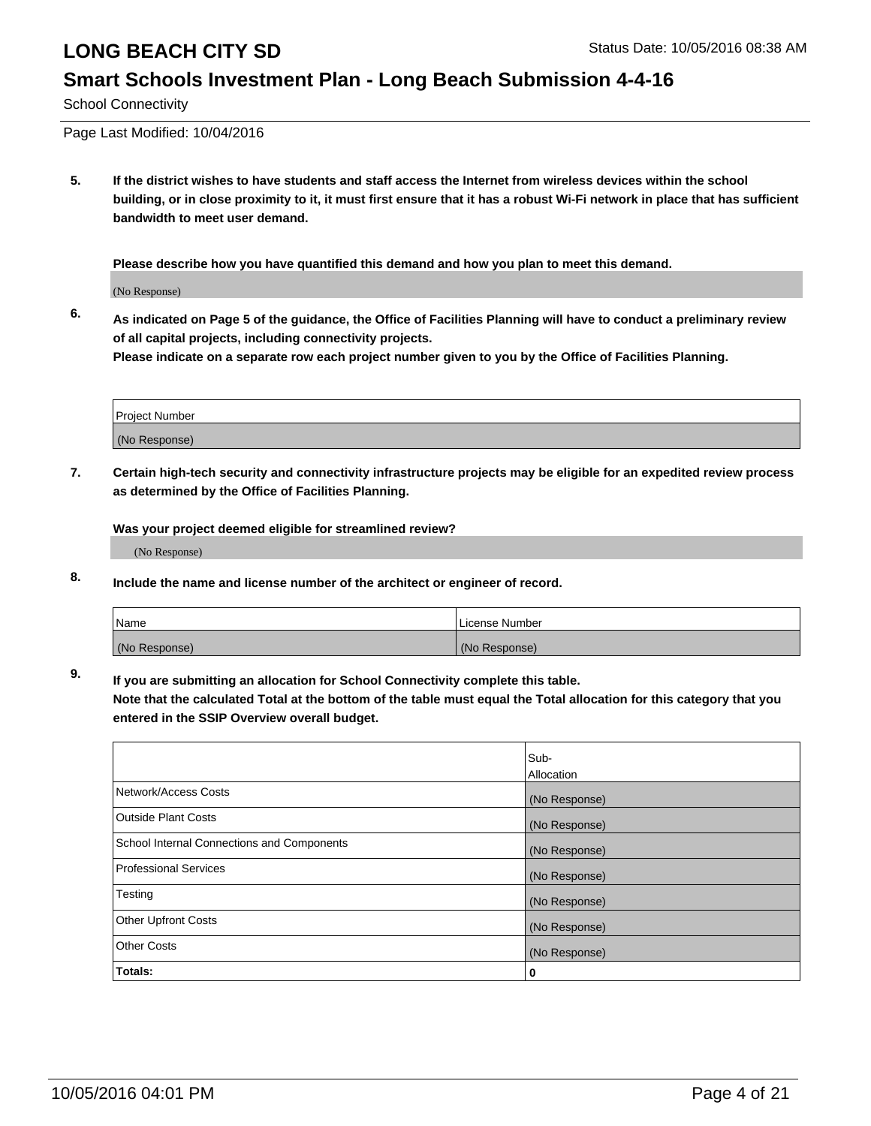# **Smart Schools Investment Plan - Long Beach Submission 4-4-16**

School Connectivity

Page Last Modified: 10/04/2016

**5. If the district wishes to have students and staff access the Internet from wireless devices within the school building, or in close proximity to it, it must first ensure that it has a robust Wi-Fi network in place that has sufficient bandwidth to meet user demand.**

**Please describe how you have quantified this demand and how you plan to meet this demand.**

(No Response)

**6. As indicated on Page 5 of the guidance, the Office of Facilities Planning will have to conduct a preliminary review of all capital projects, including connectivity projects.**

**Please indicate on a separate row each project number given to you by the Office of Facilities Planning.**

| Project Number |  |
|----------------|--|
| (No Response)  |  |

**7. Certain high-tech security and connectivity infrastructure projects may be eligible for an expedited review process as determined by the Office of Facilities Planning.**

**Was your project deemed eligible for streamlined review?**

(No Response)

**8. Include the name and license number of the architect or engineer of record.**

| <b>Name</b>   | License Number |
|---------------|----------------|
| (No Response) | (No Response)  |

**9. If you are submitting an allocation for School Connectivity complete this table.**

**Note that the calculated Total at the bottom of the table must equal the Total allocation for this category that you entered in the SSIP Overview overall budget.** 

|                                            | Sub-          |
|--------------------------------------------|---------------|
|                                            | Allocation    |
| Network/Access Costs                       | (No Response) |
| <b>Outside Plant Costs</b>                 | (No Response) |
| School Internal Connections and Components | (No Response) |
| <b>Professional Services</b>               | (No Response) |
| Testing                                    | (No Response) |
| <b>Other Upfront Costs</b>                 | (No Response) |
| <b>Other Costs</b>                         | (No Response) |
| Totals:                                    | 0             |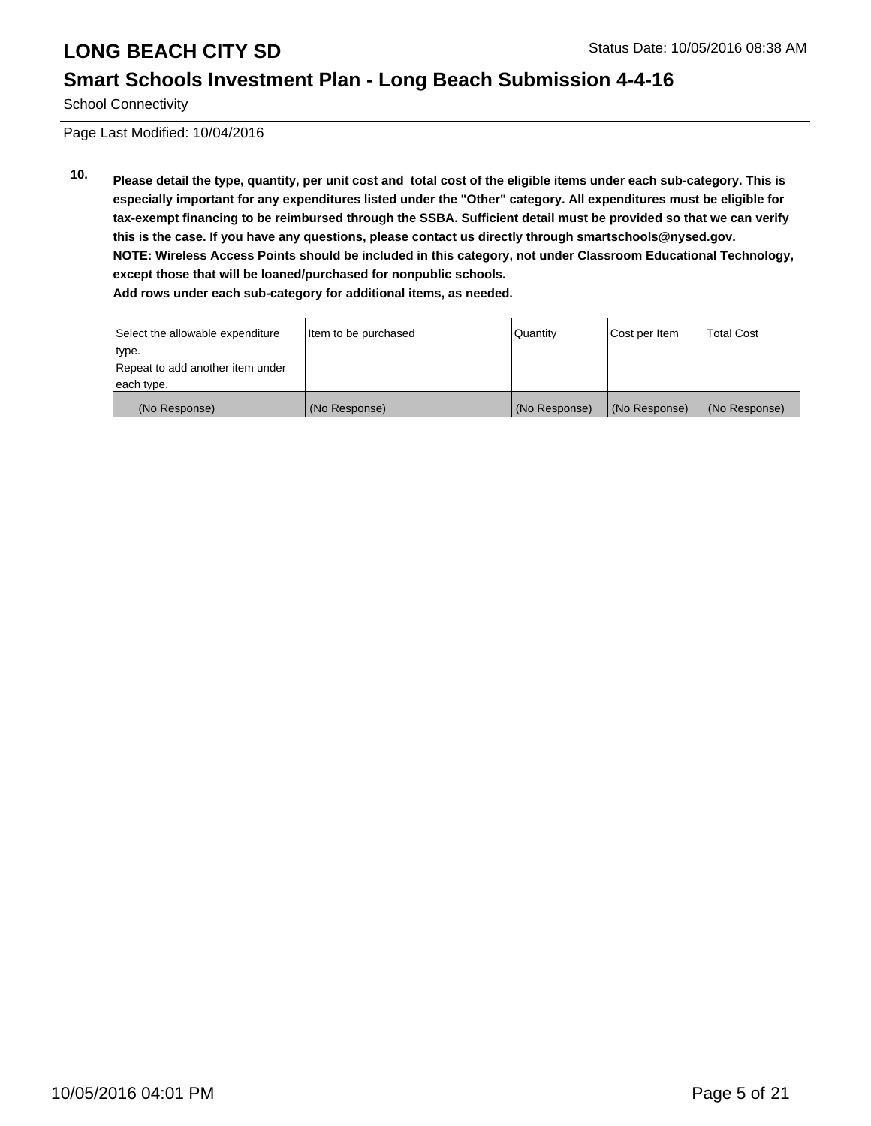#### **Smart Schools Investment Plan - Long Beach Submission 4-4-16**

School Connectivity

Page Last Modified: 10/04/2016

**10. Please detail the type, quantity, per unit cost and total cost of the eligible items under each sub-category. This is especially important for any expenditures listed under the "Other" category. All expenditures must be eligible for tax-exempt financing to be reimbursed through the SSBA. Sufficient detail must be provided so that we can verify this is the case. If you have any questions, please contact us directly through smartschools@nysed.gov. NOTE: Wireless Access Points should be included in this category, not under Classroom Educational Technology, except those that will be loaned/purchased for nonpublic schools. Add rows under each sub-category for additional items, as needed.**

| Select the allowable expenditure | Item to be purchased | Quantity      | Cost per Item | <b>Total Cost</b> |
|----------------------------------|----------------------|---------------|---------------|-------------------|
| type.                            |                      |               |               |                   |
| Repeat to add another item under |                      |               |               |                   |
| each type.                       |                      |               |               |                   |
| (No Response)                    | (No Response)        | (No Response) | (No Response) | (No Response)     |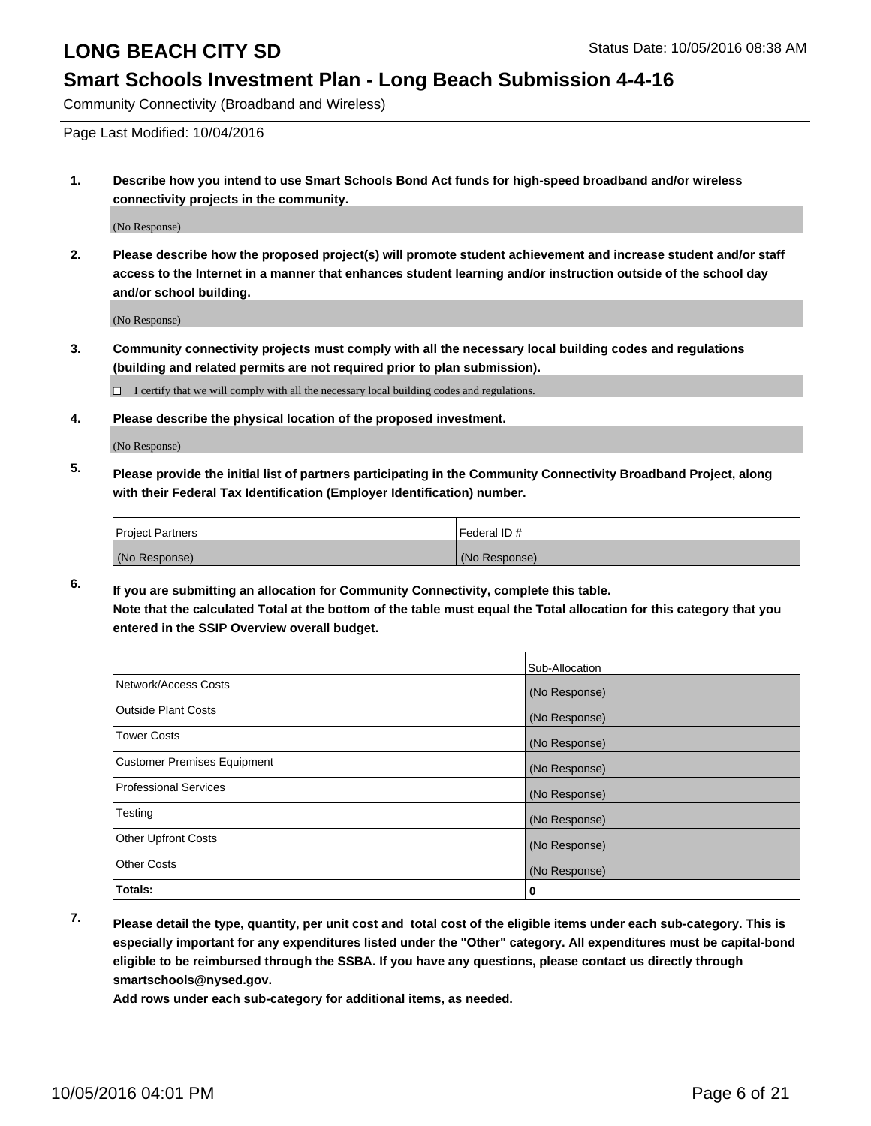#### **Smart Schools Investment Plan - Long Beach Submission 4-4-16**

Community Connectivity (Broadband and Wireless)

Page Last Modified: 10/04/2016

**1. Describe how you intend to use Smart Schools Bond Act funds for high-speed broadband and/or wireless connectivity projects in the community.**

(No Response)

**2. Please describe how the proposed project(s) will promote student achievement and increase student and/or staff access to the Internet in a manner that enhances student learning and/or instruction outside of the school day and/or school building.**

(No Response)

**3. Community connectivity projects must comply with all the necessary local building codes and regulations (building and related permits are not required prior to plan submission).**

 $\Box$  I certify that we will comply with all the necessary local building codes and regulations.

**4. Please describe the physical location of the proposed investment.**

(No Response)

**5. Please provide the initial list of partners participating in the Community Connectivity Broadband Project, along with their Federal Tax Identification (Employer Identification) number.**

| <b>Project Partners</b> | Federal ID#   |
|-------------------------|---------------|
| (No Response)           | (No Response) |

**6. If you are submitting an allocation for Community Connectivity, complete this table. Note that the calculated Total at the bottom of the table must equal the Total allocation for this category that you entered in the SSIP Overview overall budget.**

|                                    | Sub-Allocation |
|------------------------------------|----------------|
| Network/Access Costs               | (No Response)  |
| <b>Outside Plant Costs</b>         | (No Response)  |
| Tower Costs                        | (No Response)  |
| <b>Customer Premises Equipment</b> | (No Response)  |
| <b>Professional Services</b>       | (No Response)  |
| Testing                            | (No Response)  |
| <b>Other Upfront Costs</b>         | (No Response)  |
| <b>Other Costs</b>                 | (No Response)  |
| Totals:                            | 0              |

**7. Please detail the type, quantity, per unit cost and total cost of the eligible items under each sub-category. This is especially important for any expenditures listed under the "Other" category. All expenditures must be capital-bond eligible to be reimbursed through the SSBA. If you have any questions, please contact us directly through smartschools@nysed.gov.**

**Add rows under each sub-category for additional items, as needed.**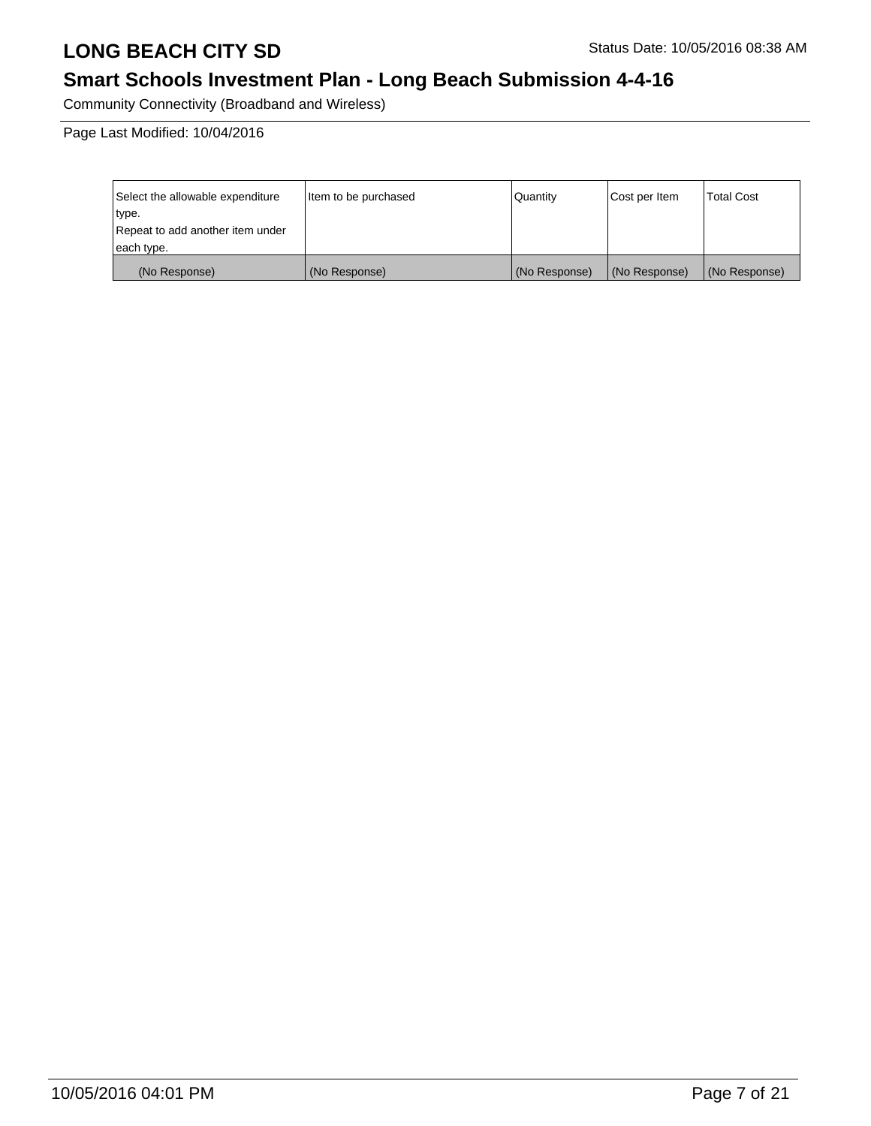# **Smart Schools Investment Plan - Long Beach Submission 4-4-16**

Community Connectivity (Broadband and Wireless)

Page Last Modified: 10/04/2016

| Select the allowable expenditure | ltem to be purchased | Quantity      | Cost per Item | <b>Total Cost</b> |
|----------------------------------|----------------------|---------------|---------------|-------------------|
| type.                            |                      |               |               |                   |
| Repeat to add another item under |                      |               |               |                   |
| each type.                       |                      |               |               |                   |
| (No Response)                    | (No Response)        | (No Response) | (No Response) | (No Response)     |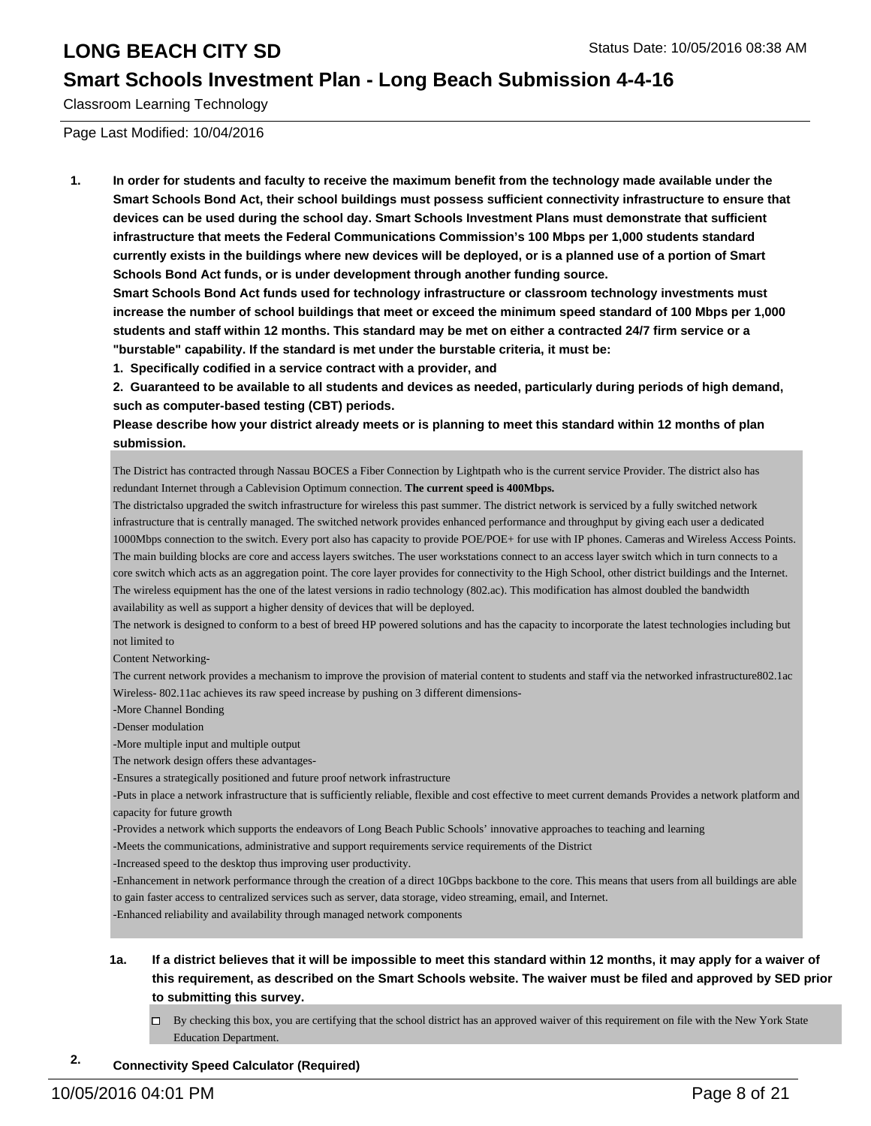#### **Smart Schools Investment Plan - Long Beach Submission 4-4-16**

Classroom Learning Technology

Page Last Modified: 10/04/2016

**1. In order for students and faculty to receive the maximum benefit from the technology made available under the Smart Schools Bond Act, their school buildings must possess sufficient connectivity infrastructure to ensure that devices can be used during the school day. Smart Schools Investment Plans must demonstrate that sufficient infrastructure that meets the Federal Communications Commission's 100 Mbps per 1,000 students standard currently exists in the buildings where new devices will be deployed, or is a planned use of a portion of Smart Schools Bond Act funds, or is under development through another funding source.**

**Smart Schools Bond Act funds used for technology infrastructure or classroom technology investments must increase the number of school buildings that meet or exceed the minimum speed standard of 100 Mbps per 1,000 students and staff within 12 months. This standard may be met on either a contracted 24/7 firm service or a "burstable" capability. If the standard is met under the burstable criteria, it must be:**

**1. Specifically codified in a service contract with a provider, and**

**2. Guaranteed to be available to all students and devices as needed, particularly during periods of high demand, such as computer-based testing (CBT) periods.**

**Please describe how your district already meets or is planning to meet this standard within 12 months of plan submission.**

The District has contracted through Nassau BOCES a Fiber Connection by Lightpath who is the current service Provider. The district also has redundant Internet through a Cablevision Optimum connection. **The current speed is 400Mbps.**

The districtalso upgraded the switch infrastructure for wireless this past summer. The district network is serviced by a fully switched network infrastructure that is centrally managed. The switched network provides enhanced performance and throughput by giving each user a dedicated 1000Mbps connection to the switch. Every port also has capacity to provide POE/POE+ for use with IP phones. Cameras and Wireless Access Points. The main building blocks are core and access layers switches. The user workstations connect to an access layer switch which in turn connects to a core switch which acts as an aggregation point. The core layer provides for connectivity to the High School, other district buildings and the Internet. The wireless equipment has the one of the latest versions in radio technology (802.ac). This modification has almost doubled the bandwidth availability as well as support a higher density of devices that will be deployed.

The network is designed to conform to a best of breed HP powered solutions and has the capacity to incorporate the latest technologies including but not limited to

Content Networking-

The current network provides a mechanism to improve the provision of material content to students and staff via the networked infrastructure802.1ac Wireless- 802.11ac achieves its raw speed increase by pushing on 3 different dimensions-

-More Channel Bonding

-Denser modulation

-More multiple input and multiple output

The network design offers these advantages-

-Ensures a strategically positioned and future proof network infrastructure

-Puts in place a network infrastructure that is sufficiently reliable, flexible and cost effective to meet current demands Provides a network platform and capacity for future growth

-Provides a network which supports the endeavors of Long Beach Public Schools' innovative approaches to teaching and learning

-Meets the communications, administrative and support requirements service requirements of the District

-Increased speed to the desktop thus improving user productivity.

-Enhancement in network performance through the creation of a direct 10Gbps backbone to the core. This means that users from all buildings are able to gain faster access to centralized services such as server, data storage, video streaming, email, and Internet.

-Enhanced reliability and availability through managed network components

#### **1a. If a district believes that it will be impossible to meet this standard within 12 months, it may apply for a waiver of this requirement, as described on the Smart Schools website. The waiver must be filed and approved by SED prior to submitting this survey.**

 $\Box$  By checking this box, you are certifying that the school district has an approved waiver of this requirement on file with the New York State Education Department.

#### **2. Connectivity Speed Calculator (Required)**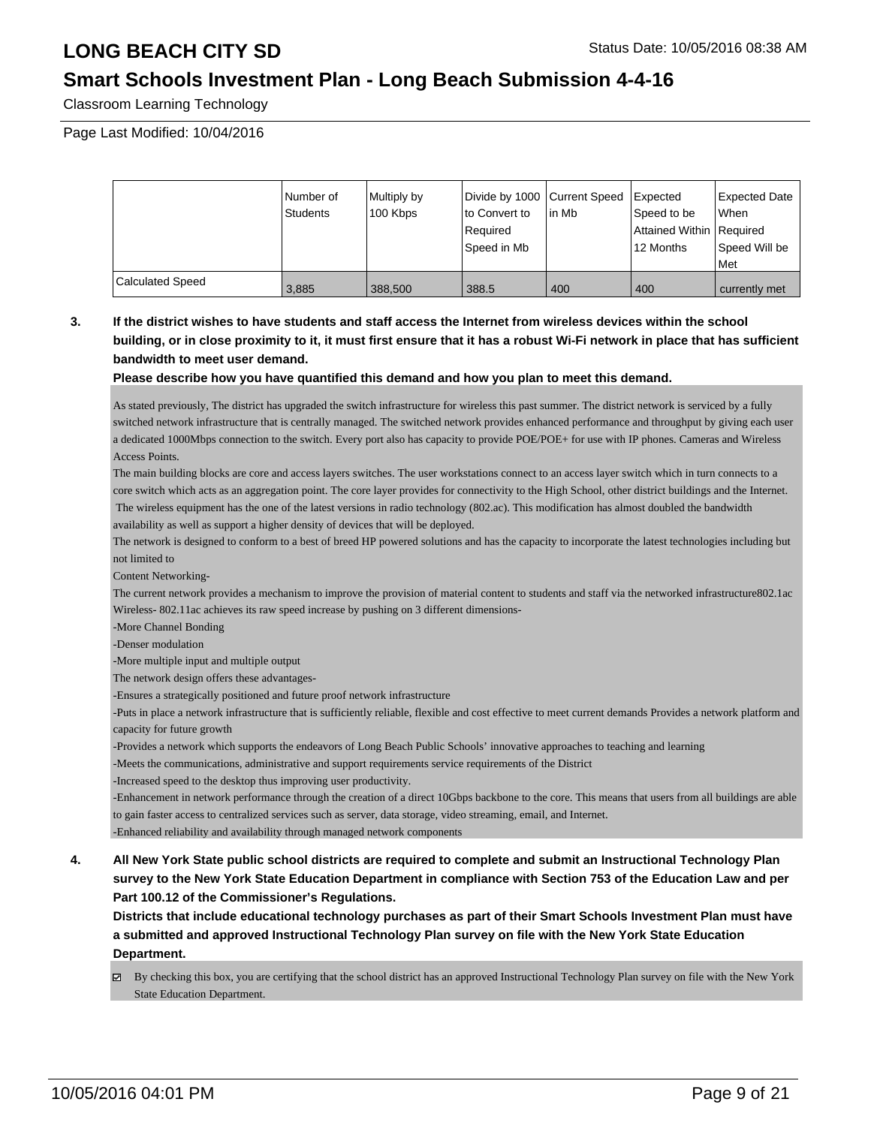### **Smart Schools Investment Plan - Long Beach Submission 4-4-16**

Classroom Learning Technology

Page Last Modified: 10/04/2016

|                         | Number of<br>Students | Multiply by<br>100 Kbps | Divide by 1000 Current Speed<br>lto Convert to<br>Required<br>Speed in Mb | l in Mb | Expected<br>Speed to be<br>Attained Within   Required<br>12 Months | Expected Date<br><b>When</b><br>Speed Will be<br><b>Met</b> |
|-------------------------|-----------------------|-------------------------|---------------------------------------------------------------------------|---------|--------------------------------------------------------------------|-------------------------------------------------------------|
| <b>Calculated Speed</b> | 3,885                 | 388,500                 | 388.5                                                                     | 400     | 400                                                                | currently met                                               |

#### **3. If the district wishes to have students and staff access the Internet from wireless devices within the school building, or in close proximity to it, it must first ensure that it has a robust Wi-Fi network in place that has sufficient bandwidth to meet user demand.**

#### **Please describe how you have quantified this demand and how you plan to meet this demand.**

As stated previously, The district has upgraded the switch infrastructure for wireless this past summer. The district network is serviced by a fully switched network infrastructure that is centrally managed. The switched network provides enhanced performance and throughput by giving each user a dedicated 1000Mbps connection to the switch. Every port also has capacity to provide POE/POE+ for use with IP phones. Cameras and Wireless Access Points.

The main building blocks are core and access layers switches. The user workstations connect to an access layer switch which in turn connects to a core switch which acts as an aggregation point. The core layer provides for connectivity to the High School, other district buildings and the Internet. The wireless equipment has the one of the latest versions in radio technology (802.ac). This modification has almost doubled the bandwidth availability as well as support a higher density of devices that will be deployed.

The network is designed to conform to a best of breed HP powered solutions and has the capacity to incorporate the latest technologies including but not limited to

Content Networking-

The current network provides a mechanism to improve the provision of material content to students and staff via the networked infrastructure802.1ac Wireless- 802.11ac achieves its raw speed increase by pushing on 3 different dimensions-

-More Channel Bonding

-Denser modulation

-More multiple input and multiple output

The network design offers these advantages-

-Ensures a strategically positioned and future proof network infrastructure

-Puts in place a network infrastructure that is sufficiently reliable, flexible and cost effective to meet current demands Provides a network platform and capacity for future growth

-Provides a network which supports the endeavors of Long Beach Public Schools' innovative approaches to teaching and learning

-Meets the communications, administrative and support requirements service requirements of the District

-Increased speed to the desktop thus improving user productivity.

-Enhancement in network performance through the creation of a direct 10Gbps backbone to the core. This means that users from all buildings are able to gain faster access to centralized services such as server, data storage, video streaming, email, and Internet.

-Enhanced reliability and availability through managed network components

**4. All New York State public school districts are required to complete and submit an Instructional Technology Plan survey to the New York State Education Department in compliance with Section 753 of the Education Law and per Part 100.12 of the Commissioner's Regulations.**

**Districts that include educational technology purchases as part of their Smart Schools Investment Plan must have a submitted and approved Instructional Technology Plan survey on file with the New York State Education Department.**

By checking this box, you are certifying that the school district has an approved Instructional Technology Plan survey on file with the New York State Education Department.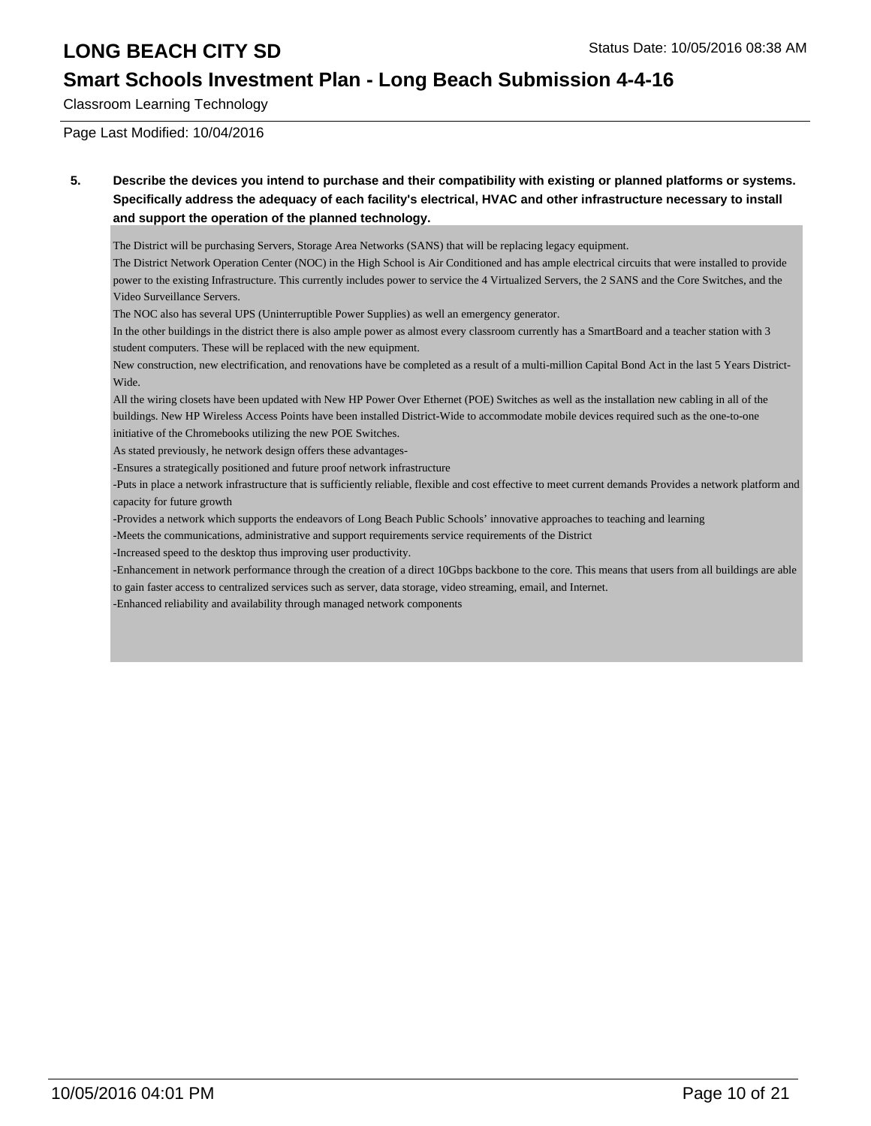## **Smart Schools Investment Plan - Long Beach Submission 4-4-16**

Classroom Learning Technology

Page Last Modified: 10/04/2016

**5. Describe the devices you intend to purchase and their compatibility with existing or planned platforms or systems. Specifically address the adequacy of each facility's electrical, HVAC and other infrastructure necessary to install and support the operation of the planned technology.**

The District will be purchasing Servers, Storage Area Networks (SANS) that will be replacing legacy equipment.

The District Network Operation Center (NOC) in the High School is Air Conditioned and has ample electrical circuits that were installed to provide power to the existing Infrastructure. This currently includes power to service the 4 Virtualized Servers, the 2 SANS and the Core Switches, and the Video Surveillance Servers.

The NOC also has several UPS (Uninterruptible Power Supplies) as well an emergency generator.

In the other buildings in the district there is also ample power as almost every classroom currently has a SmartBoard and a teacher station with 3 student computers. These will be replaced with the new equipment.

New construction, new electrification, and renovations have be completed as a result of a multi-million Capital Bond Act in the last 5 Years District-Wide.

All the wiring closets have been updated with New HP Power Over Ethernet (POE) Switches as well as the installation new cabling in all of the buildings. New HP Wireless Access Points have been installed District-Wide to accommodate mobile devices required such as the one-to-one initiative of the Chromebooks utilizing the new POE Switches.

As stated previously, he network design offers these advantages-

-Ensures a strategically positioned and future proof network infrastructure

-Puts in place a network infrastructure that is sufficiently reliable, flexible and cost effective to meet current demands Provides a network platform and capacity for future growth

-Provides a network which supports the endeavors of Long Beach Public Schools' innovative approaches to teaching and learning

-Meets the communications, administrative and support requirements service requirements of the District

-Increased speed to the desktop thus improving user productivity.

-Enhancement in network performance through the creation of a direct 10Gbps backbone to the core. This means that users from all buildings are able to gain faster access to centralized services such as server, data storage, video streaming, email, and Internet.

-Enhanced reliability and availability through managed network components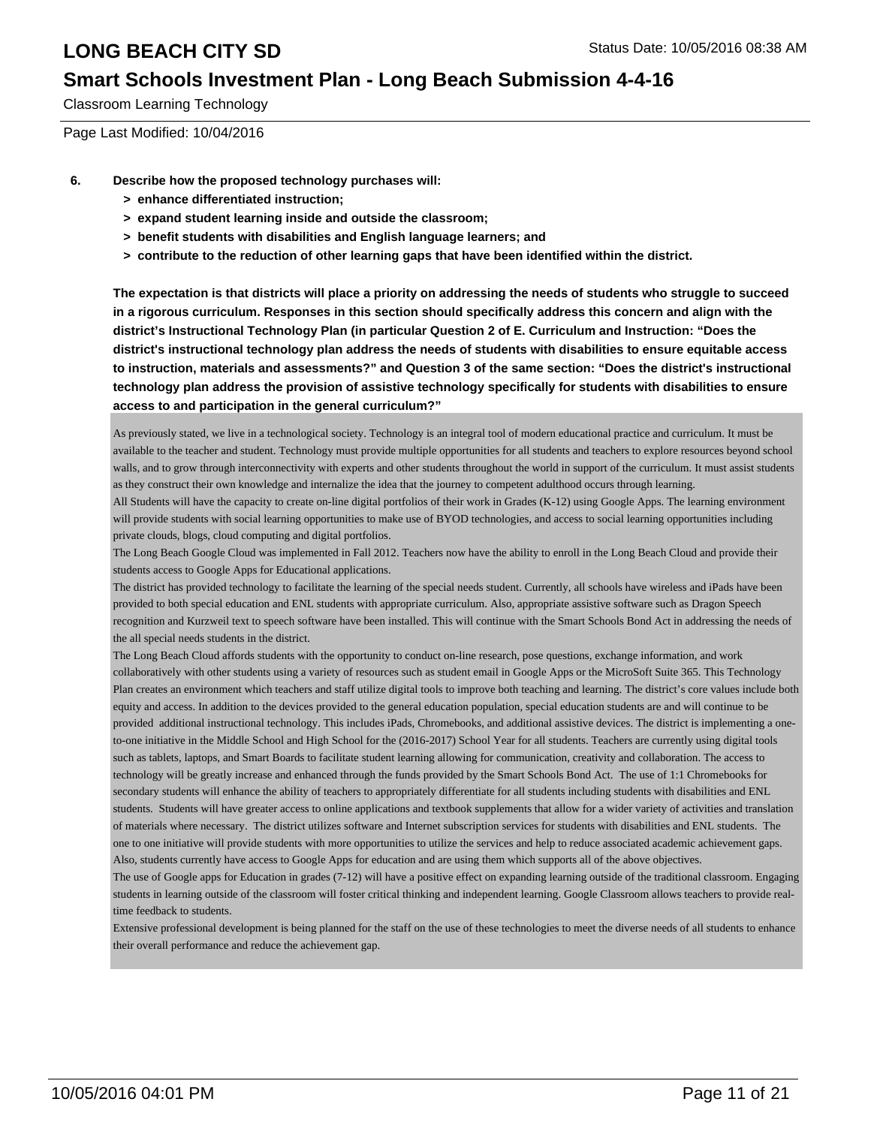### **Smart Schools Investment Plan - Long Beach Submission 4-4-16**

Classroom Learning Technology

Page Last Modified: 10/04/2016

- **6. Describe how the proposed technology purchases will:**
	- **> enhance differentiated instruction;**
	- **> expand student learning inside and outside the classroom;**
	- **> benefit students with disabilities and English language learners; and**
	- **> contribute to the reduction of other learning gaps that have been identified within the district.**

**The expectation is that districts will place a priority on addressing the needs of students who struggle to succeed in a rigorous curriculum. Responses in this section should specifically address this concern and align with the district's Instructional Technology Plan (in particular Question 2 of E. Curriculum and Instruction: "Does the district's instructional technology plan address the needs of students with disabilities to ensure equitable access to instruction, materials and assessments?" and Question 3 of the same section: "Does the district's instructional technology plan address the provision of assistive technology specifically for students with disabilities to ensure access to and participation in the general curriculum?"**

As previously stated, we live in a technological society. Technology is an integral tool of modern educational practice and curriculum. It must be available to the teacher and student. Technology must provide multiple opportunities for all students and teachers to explore resources beyond school walls, and to grow through interconnectivity with experts and other students throughout the world in support of the curriculum. It must assist students as they construct their own knowledge and internalize the idea that the journey to competent adulthood occurs through learning.

All Students will have the capacity to create on-line digital portfolios of their work in Grades (K-12) using Google Apps. The learning environment will provide students with social learning opportunities to make use of BYOD technologies, and access to social learning opportunities including private clouds, blogs, cloud computing and digital portfolios.

The Long Beach Google Cloud was implemented in Fall 2012. Teachers now have the ability to enroll in the Long Beach Cloud and provide their students access to Google Apps for Educational applications.

The district has provided technology to facilitate the learning of the special needs student. Currently, all schools have wireless and iPads have been provided to both special education and ENL students with appropriate curriculum. Also, appropriate assistive software such as Dragon Speech recognition and Kurzweil text to speech software have been installed. This will continue with the Smart Schools Bond Act in addressing the needs of the all special needs students in the district.

The Long Beach Cloud affords students with the opportunity to conduct on-line research, pose questions, exchange information, and work collaboratively with other students using a variety of resources such as student email in Google Apps or the MicroSoft Suite 365. This Technology Plan creates an environment which teachers and staff utilize digital tools to improve both teaching and learning. The district's core values include both equity and access. In addition to the devices provided to the general education population, special education students are and will continue to be provided additional instructional technology. This includes iPads, Chromebooks, and additional assistive devices. The district is implementing a oneto-one initiative in the Middle School and High School for the (2016-2017) School Year for all students. Teachers are currently using digital tools such as tablets, laptops, and Smart Boards to facilitate student learning allowing for communication, creativity and collaboration. The access to technology will be greatly increase and enhanced through the funds provided by the Smart Schools Bond Act. The use of 1:1 Chromebooks for secondary students will enhance the ability of teachers to appropriately differentiate for all students including students with disabilities and ENL students. Students will have greater access to online applications and textbook supplements that allow for a wider variety of activities and translation of materials where necessary. The district utilizes software and Internet subscription services for students with disabilities and ENL students. The one to one initiative will provide students with more opportunities to utilize the services and help to reduce associated academic achievement gaps. Also, students currently have access to Google Apps for education and are using them which supports all of the above objectives.

The use of Google apps for Education in grades (7-12) will have a positive effect on expanding learning outside of the traditional classroom. Engaging students in learning outside of the classroom will foster critical thinking and independent learning. Google Classroom allows teachers to provide realtime feedback to students.

Extensive professional development is being planned for the staff on the use of these technologies to meet the diverse needs of all students to enhance their overall performance and reduce the achievement gap.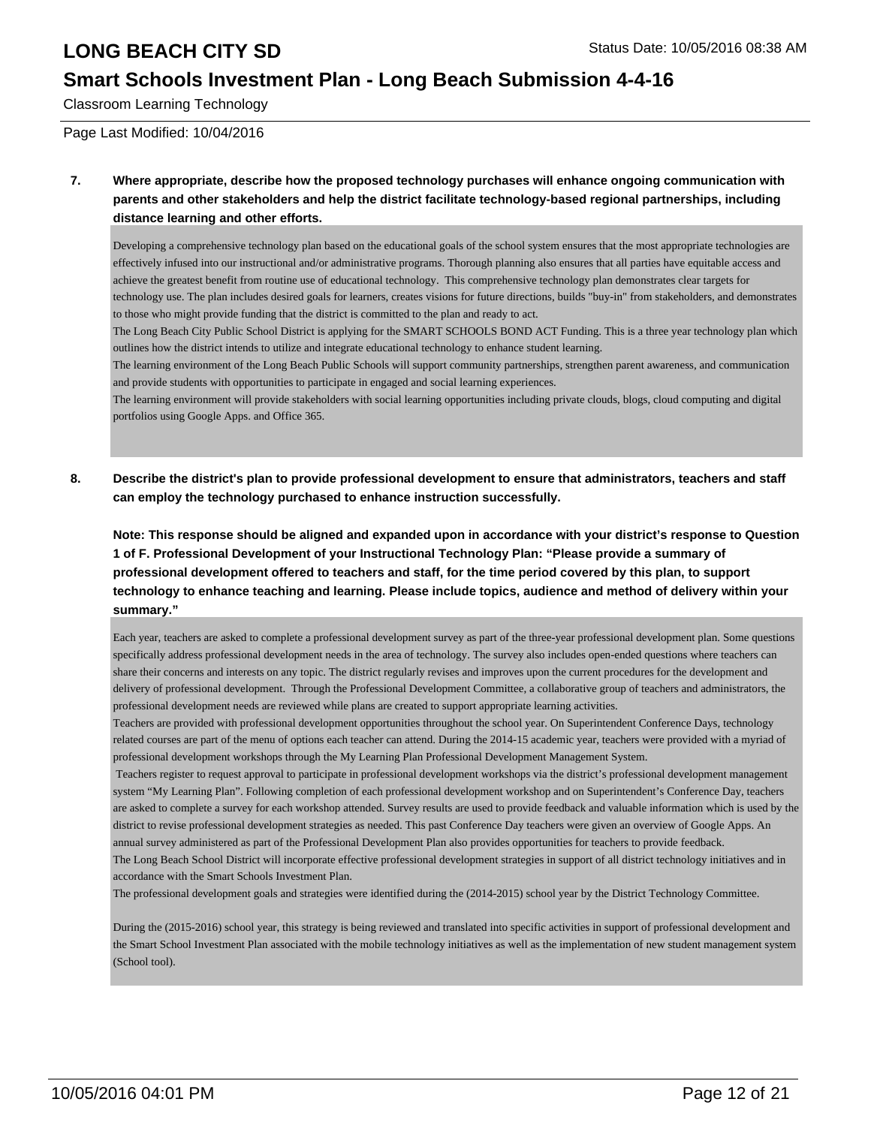#### **Smart Schools Investment Plan - Long Beach Submission 4-4-16**

Classroom Learning Technology

Page Last Modified: 10/04/2016

**7. Where appropriate, describe how the proposed technology purchases will enhance ongoing communication with parents and other stakeholders and help the district facilitate technology-based regional partnerships, including distance learning and other efforts.**

Developing a comprehensive technology plan based on the educational goals of the school system ensures that the most appropriate technologies are effectively infused into our instructional and/or administrative programs. Thorough planning also ensures that all parties have equitable access and achieve the greatest benefit from routine use of educational technology. This comprehensive technology plan demonstrates clear targets for technology use. The plan includes desired goals for learners, creates visions for future directions, builds "buy-in" from stakeholders, and demonstrates to those who might provide funding that the district is committed to the plan and ready to act.

The Long Beach City Public School District is applying for the SMART SCHOOLS BOND ACT Funding. This is a three year technology plan which outlines how the district intends to utilize and integrate educational technology to enhance student learning.

The learning environment of the Long Beach Public Schools will support community partnerships, strengthen parent awareness, and communication and provide students with opportunities to participate in engaged and social learning experiences.

The learning environment will provide stakeholders with social learning opportunities including private clouds, blogs, cloud computing and digital portfolios using Google Apps. and Office 365.

**8. Describe the district's plan to provide professional development to ensure that administrators, teachers and staff can employ the technology purchased to enhance instruction successfully.**

**Note: This response should be aligned and expanded upon in accordance with your district's response to Question 1 of F. Professional Development of your Instructional Technology Plan: "Please provide a summary of professional development offered to teachers and staff, for the time period covered by this plan, to support technology to enhance teaching and learning. Please include topics, audience and method of delivery within your summary."**

Each year, teachers are asked to complete a professional development survey as part of the three-year professional development plan. Some questions specifically address professional development needs in the area of technology. The survey also includes open-ended questions where teachers can share their concerns and interests on any topic. The district regularly revises and improves upon the current procedures for the development and delivery of professional development. Through the Professional Development Committee, a collaborative group of teachers and administrators, the professional development needs are reviewed while plans are created to support appropriate learning activities.

Teachers are provided with professional development opportunities throughout the school year. On Superintendent Conference Days, technology related courses are part of the menu of options each teacher can attend. During the 2014-15 academic year, teachers were provided with a myriad of professional development workshops through the My Learning Plan Professional Development Management System.

 Teachers register to request approval to participate in professional development workshops via the district's professional development management system "My Learning Plan". Following completion of each professional development workshop and on Superintendent's Conference Day, teachers are asked to complete a survey for each workshop attended. Survey results are used to provide feedback and valuable information which is used by the district to revise professional development strategies as needed. This past Conference Day teachers were given an overview of Google Apps. An annual survey administered as part of the Professional Development Plan also provides opportunities for teachers to provide feedback.

The Long Beach School District will incorporate effective professional development strategies in support of all district technology initiatives and in accordance with the Smart Schools Investment Plan.

The professional development goals and strategies were identified during the (2014-2015) school year by the District Technology Committee.

During the (2015-2016) school year, this strategy is being reviewed and translated into specific activities in support of professional development and the Smart School Investment Plan associated with the mobile technology initiatives as well as the implementation of new student management system (School tool).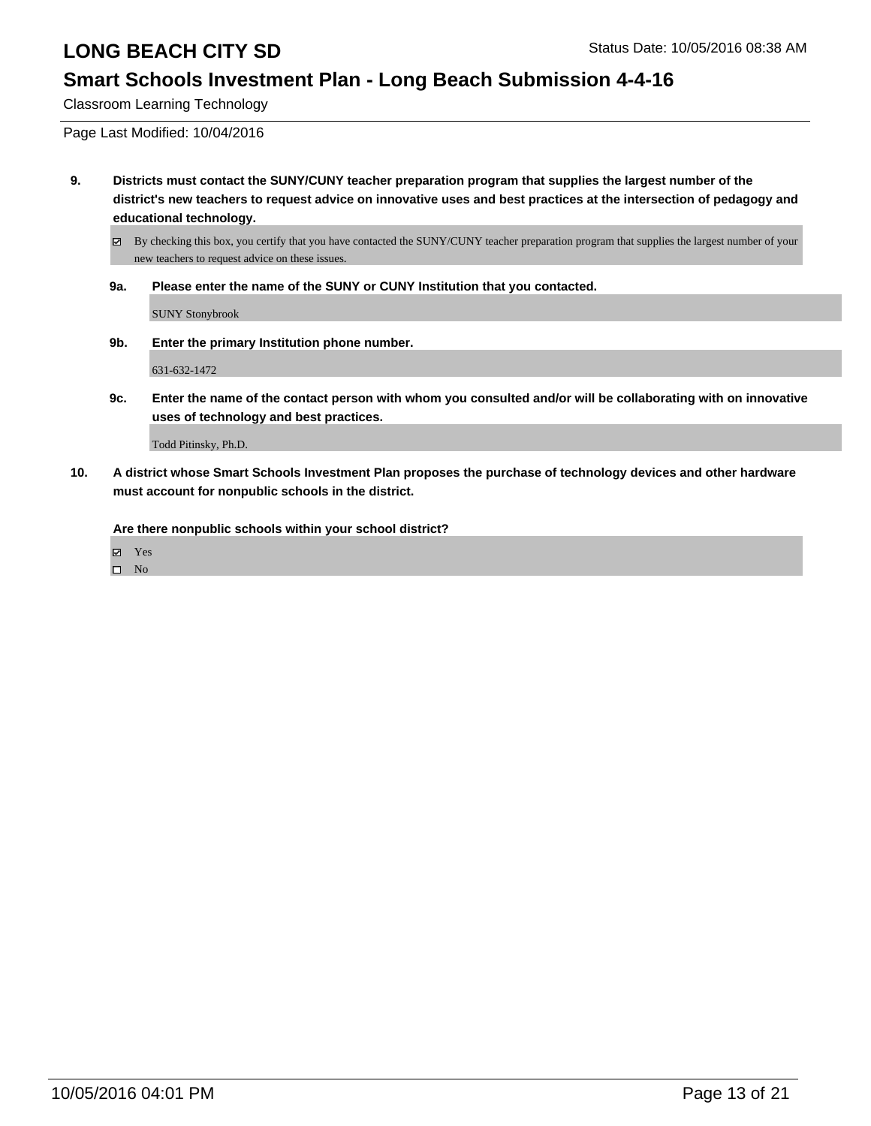### **Smart Schools Investment Plan - Long Beach Submission 4-4-16**

Classroom Learning Technology

Page Last Modified: 10/04/2016

**9. Districts must contact the SUNY/CUNY teacher preparation program that supplies the largest number of the district's new teachers to request advice on innovative uses and best practices at the intersection of pedagogy and educational technology.**

By checking this box, you certify that you have contacted the SUNY/CUNY teacher preparation program that supplies the largest number of your new teachers to request advice on these issues.

**9a. Please enter the name of the SUNY or CUNY Institution that you contacted.**

SUNY Stonybrook

**9b. Enter the primary Institution phone number.**

631-632-1472

**9c. Enter the name of the contact person with whom you consulted and/or will be collaborating with on innovative uses of technology and best practices.**

Todd Pitinsky, Ph.D.

**10. A district whose Smart Schools Investment Plan proposes the purchase of technology devices and other hardware must account for nonpublic schools in the district.**

**Are there nonpublic schools within your school district?**

Yes

 $\square$  No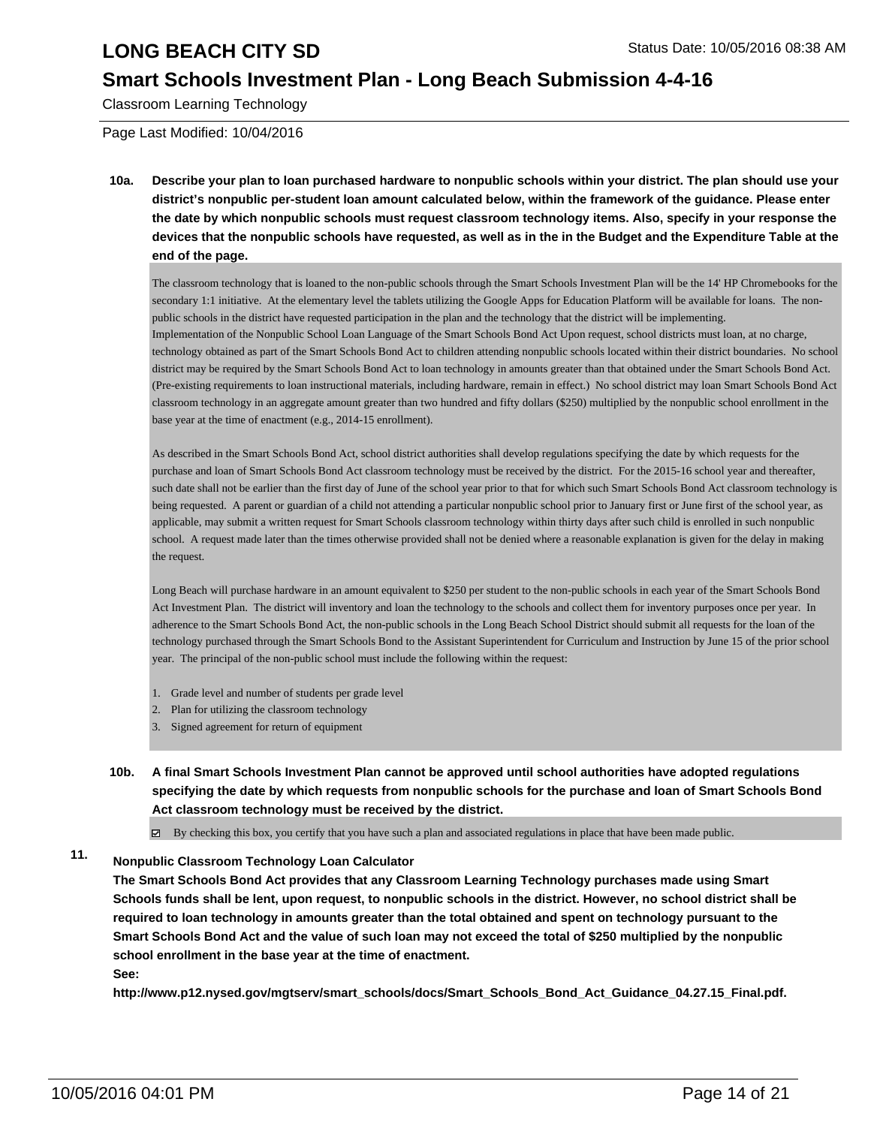### **Smart Schools Investment Plan - Long Beach Submission 4-4-16**

Classroom Learning Technology

Page Last Modified: 10/04/2016

**10a. Describe your plan to loan purchased hardware to nonpublic schools within your district. The plan should use your district's nonpublic per-student loan amount calculated below, within the framework of the guidance. Please enter the date by which nonpublic schools must request classroom technology items. Also, specify in your response the devices that the nonpublic schools have requested, as well as in the in the Budget and the Expenditure Table at the end of the page.**

The classroom technology that is loaned to the non-public schools through the Smart Schools Investment Plan will be the 14' HP Chromebooks for the secondary 1:1 initiative. At the elementary level the tablets utilizing the Google Apps for Education Platform will be available for loans. The nonpublic schools in the district have requested participation in the plan and the technology that the district will be implementing. Implementation of the Nonpublic School Loan Language of the Smart Schools Bond Act Upon request, school districts must loan, at no charge, technology obtained as part of the Smart Schools Bond Act to children attending nonpublic schools located within their district boundaries. No school district may be required by the Smart Schools Bond Act to loan technology in amounts greater than that obtained under the Smart Schools Bond Act. (Pre-existing requirements to loan instructional materials, including hardware, remain in effect.) No school district may loan Smart Schools Bond Act classroom technology in an aggregate amount greater than two hundred and fifty dollars (\$250) multiplied by the nonpublic school enrollment in the base year at the time of enactment (e.g., 2014-15 enrollment).

As described in the Smart Schools Bond Act, school district authorities shall develop regulations specifying the date by which requests for the purchase and loan of Smart Schools Bond Act classroom technology must be received by the district. For the 2015-16 school year and thereafter, such date shall not be earlier than the first day of June of the school year prior to that for which such Smart Schools Bond Act classroom technology is being requested. A parent or guardian of a child not attending a particular nonpublic school prior to January first or June first of the school year, as applicable, may submit a written request for Smart Schools classroom technology within thirty days after such child is enrolled in such nonpublic school. A request made later than the times otherwise provided shall not be denied where a reasonable explanation is given for the delay in making the request.

Long Beach will purchase hardware in an amount equivalent to \$250 per student to the non-public schools in each year of the Smart Schools Bond Act Investment Plan. The district will inventory and loan the technology to the schools and collect them for inventory purposes once per year. In adherence to the Smart Schools Bond Act, the non-public schools in the Long Beach School District should submit all requests for the loan of the technology purchased through the Smart Schools Bond to the Assistant Superintendent for Curriculum and Instruction by June 15 of the prior school year. The principal of the non-public school must include the following within the request:

- 1. Grade level and number of students per grade level
- 2. Plan for utilizing the classroom technology
- 3. Signed agreement for return of equipment
- **10b. A final Smart Schools Investment Plan cannot be approved until school authorities have adopted regulations specifying the date by which requests from nonpublic schools for the purchase and loan of Smart Schools Bond Act classroom technology must be received by the district.**

 $\boxtimes$  By checking this box, you certify that you have such a plan and associated regulations in place that have been made public.

#### **11. Nonpublic Classroom Technology Loan Calculator**

**The Smart Schools Bond Act provides that any Classroom Learning Technology purchases made using Smart Schools funds shall be lent, upon request, to nonpublic schools in the district. However, no school district shall be required to loan technology in amounts greater than the total obtained and spent on technology pursuant to the Smart Schools Bond Act and the value of such loan may not exceed the total of \$250 multiplied by the nonpublic school enrollment in the base year at the time of enactment. See:**

**http://www.p12.nysed.gov/mgtserv/smart\_schools/docs/Smart\_Schools\_Bond\_Act\_Guidance\_04.27.15\_Final.pdf.**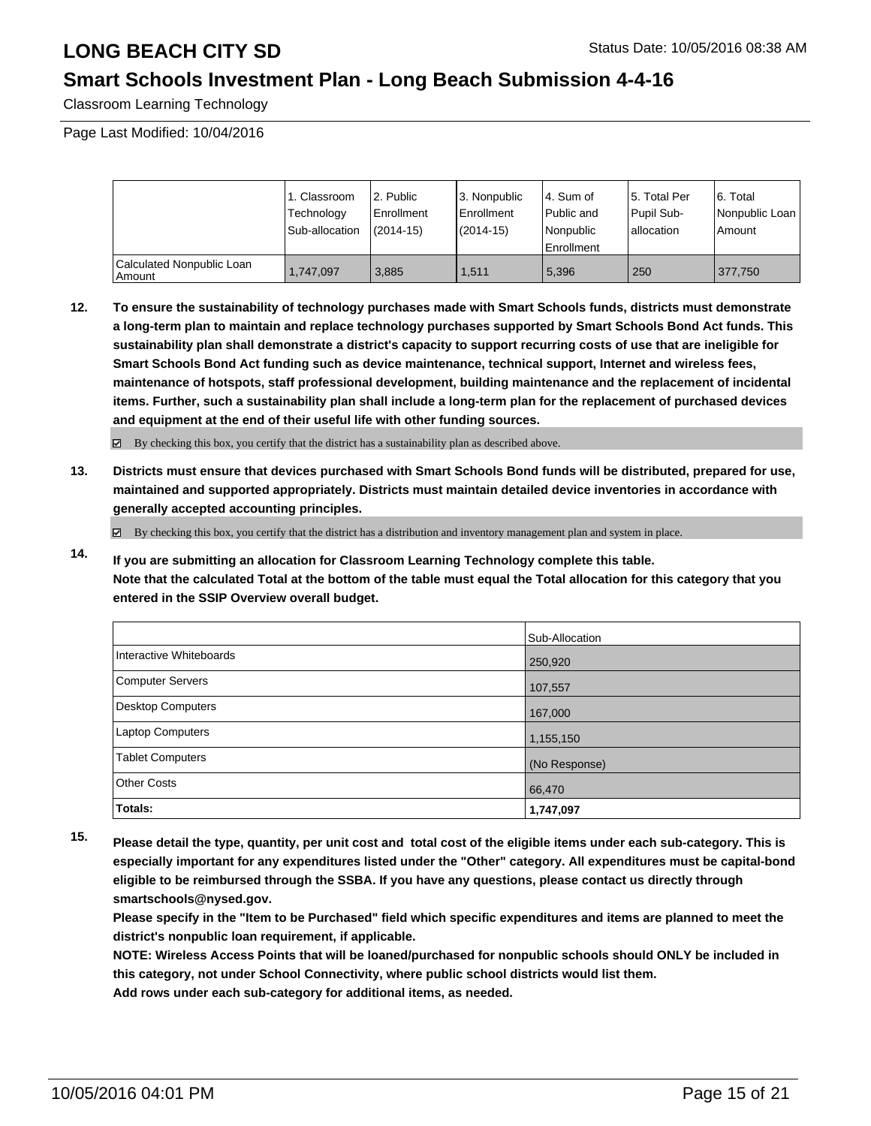### **Smart Schools Investment Plan - Long Beach Submission 4-4-16**

Classroom Learning Technology

Page Last Modified: 10/04/2016

|                                     | 1. Classroom<br>Technology<br>Sub-allocation | 2. Public<br>l Enrollment<br>$(2014 - 15)$ | 3. Nonpublic<br><b>Enrollment</b><br>(2014-15) | 4. Sum of<br>l Public and<br>Nonpublic<br><b>Enrollment</b> | 15. Total Per<br>Pupil Sub-<br>Iallocation | 6. Total<br>Nonpublic Loan<br>Amount |
|-------------------------------------|----------------------------------------------|--------------------------------------------|------------------------------------------------|-------------------------------------------------------------|--------------------------------------------|--------------------------------------|
| Calculated Nonpublic Loan<br>Amount | 1.747.097                                    | 3.885                                      | 1.511                                          | 5.396                                                       | 250                                        | 377,750                              |

**12. To ensure the sustainability of technology purchases made with Smart Schools funds, districts must demonstrate a long-term plan to maintain and replace technology purchases supported by Smart Schools Bond Act funds. This sustainability plan shall demonstrate a district's capacity to support recurring costs of use that are ineligible for Smart Schools Bond Act funding such as device maintenance, technical support, Internet and wireless fees, maintenance of hotspots, staff professional development, building maintenance and the replacement of incidental items. Further, such a sustainability plan shall include a long-term plan for the replacement of purchased devices and equipment at the end of their useful life with other funding sources.**

By checking this box, you certify that the district has a sustainability plan as described above.

**13. Districts must ensure that devices purchased with Smart Schools Bond funds will be distributed, prepared for use, maintained and supported appropriately. Districts must maintain detailed device inventories in accordance with generally accepted accounting principles.**

By checking this box, you certify that the district has a distribution and inventory management plan and system in place.

**14. If you are submitting an allocation for Classroom Learning Technology complete this table. Note that the calculated Total at the bottom of the table must equal the Total allocation for this category that you entered in the SSIP Overview overall budget.**

|                         | Sub-Allocation |
|-------------------------|----------------|
| Interactive Whiteboards | 250,920        |
| Computer Servers        | 107,557        |
| Desktop Computers       | 167,000        |
| Laptop Computers        | 1,155,150      |
| <b>Tablet Computers</b> | (No Response)  |
| Other Costs             | 66,470         |
| Totals:                 | 1,747,097      |

**15. Please detail the type, quantity, per unit cost and total cost of the eligible items under each sub-category. This is especially important for any expenditures listed under the "Other" category. All expenditures must be capital-bond eligible to be reimbursed through the SSBA. If you have any questions, please contact us directly through smartschools@nysed.gov.**

**Please specify in the "Item to be Purchased" field which specific expenditures and items are planned to meet the district's nonpublic loan requirement, if applicable.**

**NOTE: Wireless Access Points that will be loaned/purchased for nonpublic schools should ONLY be included in this category, not under School Connectivity, where public school districts would list them. Add rows under each sub-category for additional items, as needed.**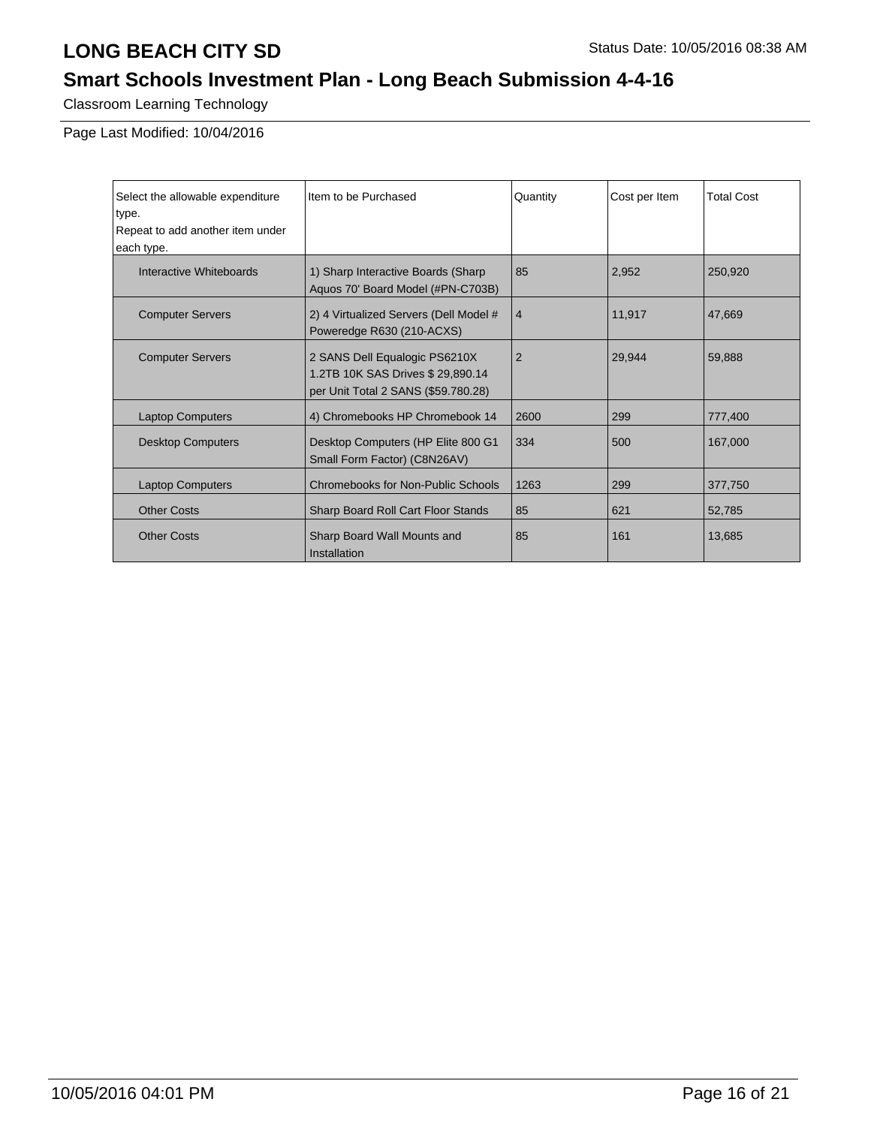# **Smart Schools Investment Plan - Long Beach Submission 4-4-16**

Classroom Learning Technology

Page Last Modified: 10/04/2016

| Select the allowable expenditure | Item to be Purchased                        | Quantity       | Cost per Item | <b>Total Cost</b> |
|----------------------------------|---------------------------------------------|----------------|---------------|-------------------|
| type.                            |                                             |                |               |                   |
| Repeat to add another item under |                                             |                |               |                   |
| each type.                       |                                             |                |               |                   |
| Interactive Whiteboards          | 1) Sharp Interactive Boards (Sharp          | 85             | 2,952         | 250,920           |
|                                  | Aquos 70' Board Model (#PN-C703B)           |                |               |                   |
| <b>Computer Servers</b>          | 2) 4 Virtualized Servers (Dell Model #      | 4              | 11,917        | 47,669            |
|                                  | Poweredge R630 (210-ACXS)                   |                |               |                   |
| <b>Computer Servers</b>          | 2 SANS Dell Equalogic PS6210X               | $\overline{2}$ | 29,944        | 59,888            |
|                                  | 1.2TB 10K SAS Drives \$ 29,890.14           |                |               |                   |
|                                  | per Unit Total 2 SANS (\$59.780.28)         |                |               |                   |
| <b>Laptop Computers</b>          | 4) Chromebooks HP Chromebook 14             | 2600           | 299           | 777,400           |
| <b>Desktop Computers</b>         | Desktop Computers (HP Elite 800 G1          | 334            | 500           | 167,000           |
|                                  | Small Form Factor) (C8N26AV)                |                |               |                   |
| <b>Laptop Computers</b>          | Chromebooks for Non-Public Schools          | 1263           | 299           | 377,750           |
| <b>Other Costs</b>               | Sharp Board Roll Cart Floor Stands          | 85             | 621           | 52,785            |
| <b>Other Costs</b>               | Sharp Board Wall Mounts and<br>Installation | 85             | 161           | 13,685            |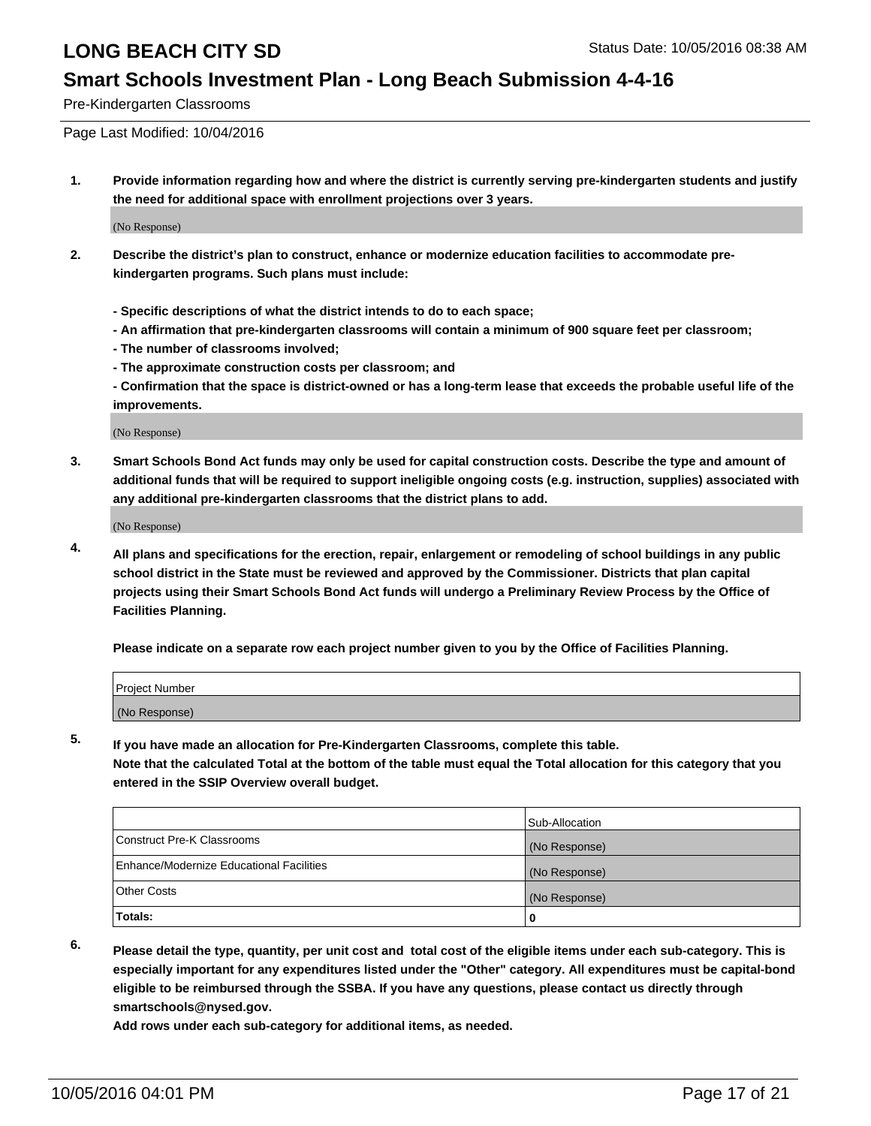### **Smart Schools Investment Plan - Long Beach Submission 4-4-16**

Pre-Kindergarten Classrooms

Page Last Modified: 10/04/2016

**1. Provide information regarding how and where the district is currently serving pre-kindergarten students and justify the need for additional space with enrollment projections over 3 years.**

(No Response)

- **2. Describe the district's plan to construct, enhance or modernize education facilities to accommodate prekindergarten programs. Such plans must include:**
	- **Specific descriptions of what the district intends to do to each space;**
	- **An affirmation that pre-kindergarten classrooms will contain a minimum of 900 square feet per classroom;**
	- **The number of classrooms involved;**
	- **The approximate construction costs per classroom; and**
	- **Confirmation that the space is district-owned or has a long-term lease that exceeds the probable useful life of the improvements.**

(No Response)

**3. Smart Schools Bond Act funds may only be used for capital construction costs. Describe the type and amount of additional funds that will be required to support ineligible ongoing costs (e.g. instruction, supplies) associated with any additional pre-kindergarten classrooms that the district plans to add.**

(No Response)

**4. All plans and specifications for the erection, repair, enlargement or remodeling of school buildings in any public school district in the State must be reviewed and approved by the Commissioner. Districts that plan capital projects using their Smart Schools Bond Act funds will undergo a Preliminary Review Process by the Office of Facilities Planning.**

**Please indicate on a separate row each project number given to you by the Office of Facilities Planning.**

| Project Number |  |
|----------------|--|
| (No Response)  |  |

**5. If you have made an allocation for Pre-Kindergarten Classrooms, complete this table.**

**Note that the calculated Total at the bottom of the table must equal the Total allocation for this category that you entered in the SSIP Overview overall budget.**

|                                          | Sub-Allocation |
|------------------------------------------|----------------|
| Construct Pre-K Classrooms               | (No Response)  |
| Enhance/Modernize Educational Facilities | (No Response)  |
| Other Costs                              | (No Response)  |
| Totals:                                  |                |

**6. Please detail the type, quantity, per unit cost and total cost of the eligible items under each sub-category. This is especially important for any expenditures listed under the "Other" category. All expenditures must be capital-bond eligible to be reimbursed through the SSBA. If you have any questions, please contact us directly through smartschools@nysed.gov.**

**Add rows under each sub-category for additional items, as needed.**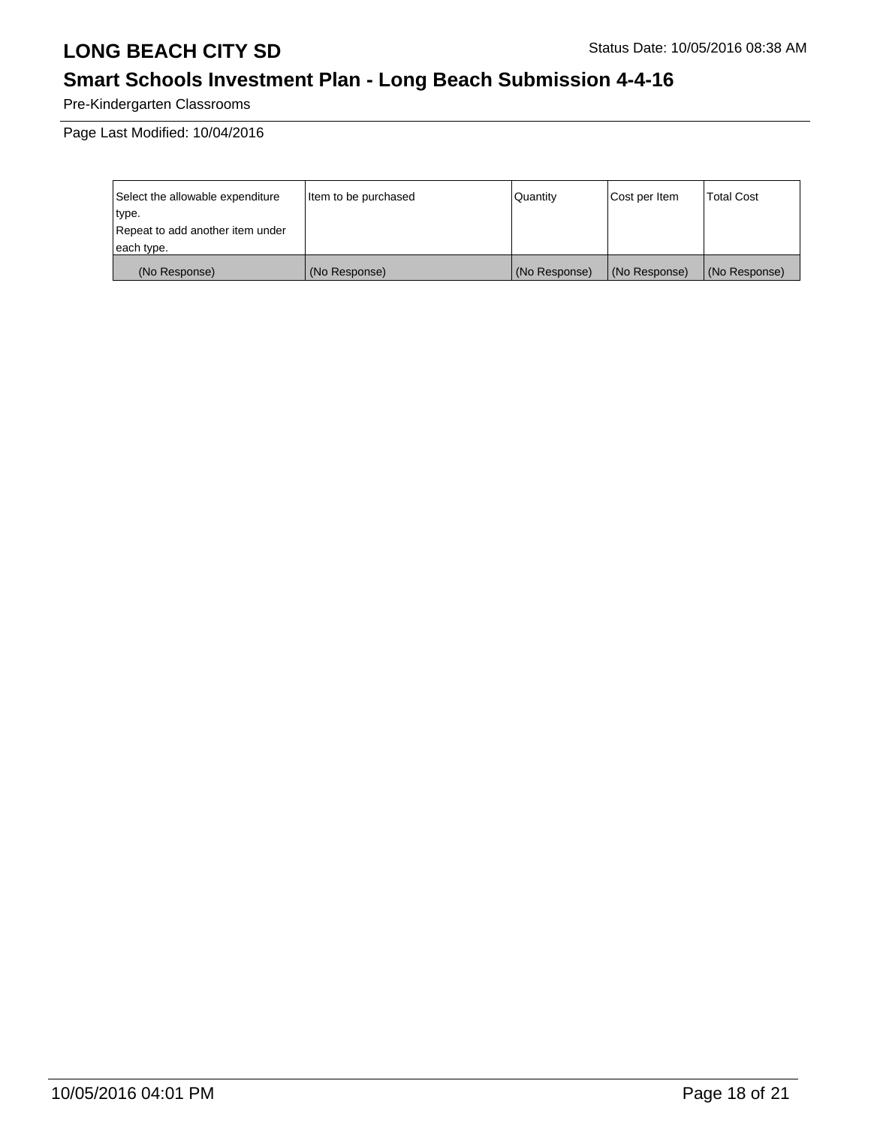# **Smart Schools Investment Plan - Long Beach Submission 4-4-16**

Pre-Kindergarten Classrooms

Page Last Modified: 10/04/2016

| Select the allowable expenditure | litem to be purchased | Quantity      | Cost per Item | <b>Total Cost</b> |
|----------------------------------|-----------------------|---------------|---------------|-------------------|
| type.                            |                       |               |               |                   |
| Repeat to add another item under |                       |               |               |                   |
| each type.                       |                       |               |               |                   |
| (No Response)                    | (No Response)         | (No Response) | (No Response) | (No Response)     |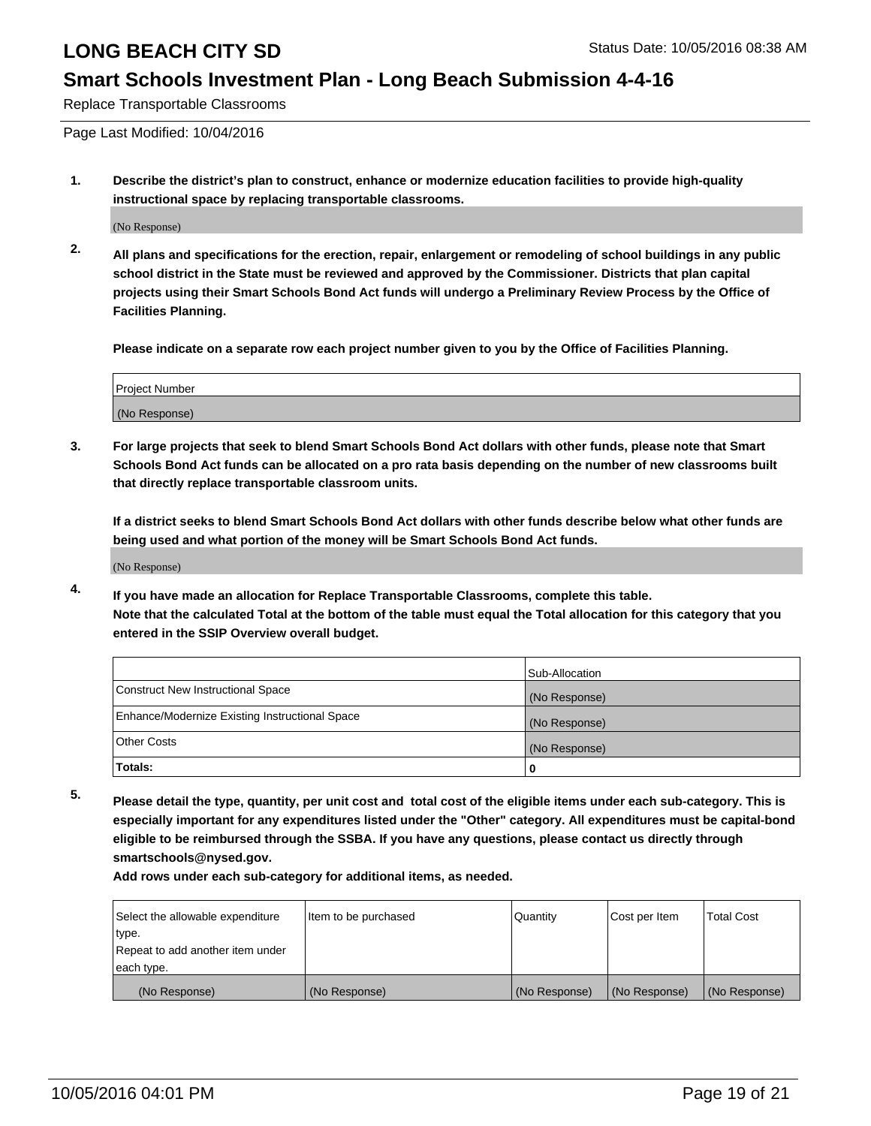### **Smart Schools Investment Plan - Long Beach Submission 4-4-16**

Replace Transportable Classrooms

Page Last Modified: 10/04/2016

**1. Describe the district's plan to construct, enhance or modernize education facilities to provide high-quality instructional space by replacing transportable classrooms.**

(No Response)

**2. All plans and specifications for the erection, repair, enlargement or remodeling of school buildings in any public school district in the State must be reviewed and approved by the Commissioner. Districts that plan capital projects using their Smart Schools Bond Act funds will undergo a Preliminary Review Process by the Office of Facilities Planning.**

**Please indicate on a separate row each project number given to you by the Office of Facilities Planning.**

| Project Number |  |
|----------------|--|
| (No Response)  |  |

**3. For large projects that seek to blend Smart Schools Bond Act dollars with other funds, please note that Smart Schools Bond Act funds can be allocated on a pro rata basis depending on the number of new classrooms built that directly replace transportable classroom units.**

**If a district seeks to blend Smart Schools Bond Act dollars with other funds describe below what other funds are being used and what portion of the money will be Smart Schools Bond Act funds.**

(No Response)

**4. If you have made an allocation for Replace Transportable Classrooms, complete this table. Note that the calculated Total at the bottom of the table must equal the Total allocation for this category that you entered in the SSIP Overview overall budget.**

|                                                | Sub-Allocation |
|------------------------------------------------|----------------|
| Construct New Instructional Space              | (No Response)  |
| Enhance/Modernize Existing Instructional Space | (No Response)  |
| Other Costs                                    | (No Response)  |
| Totals:                                        | 0              |

**5. Please detail the type, quantity, per unit cost and total cost of the eligible items under each sub-category. This is especially important for any expenditures listed under the "Other" category. All expenditures must be capital-bond eligible to be reimbursed through the SSBA. If you have any questions, please contact us directly through smartschools@nysed.gov.**

**Add rows under each sub-category for additional items, as needed.**

| Select the allowable expenditure | Item to be purchased | Quantity      | Cost per Item | Total Cost    |
|----------------------------------|----------------------|---------------|---------------|---------------|
| type.                            |                      |               |               |               |
| Repeat to add another item under |                      |               |               |               |
| each type.                       |                      |               |               |               |
| (No Response)                    | (No Response)        | (No Response) | (No Response) | (No Response) |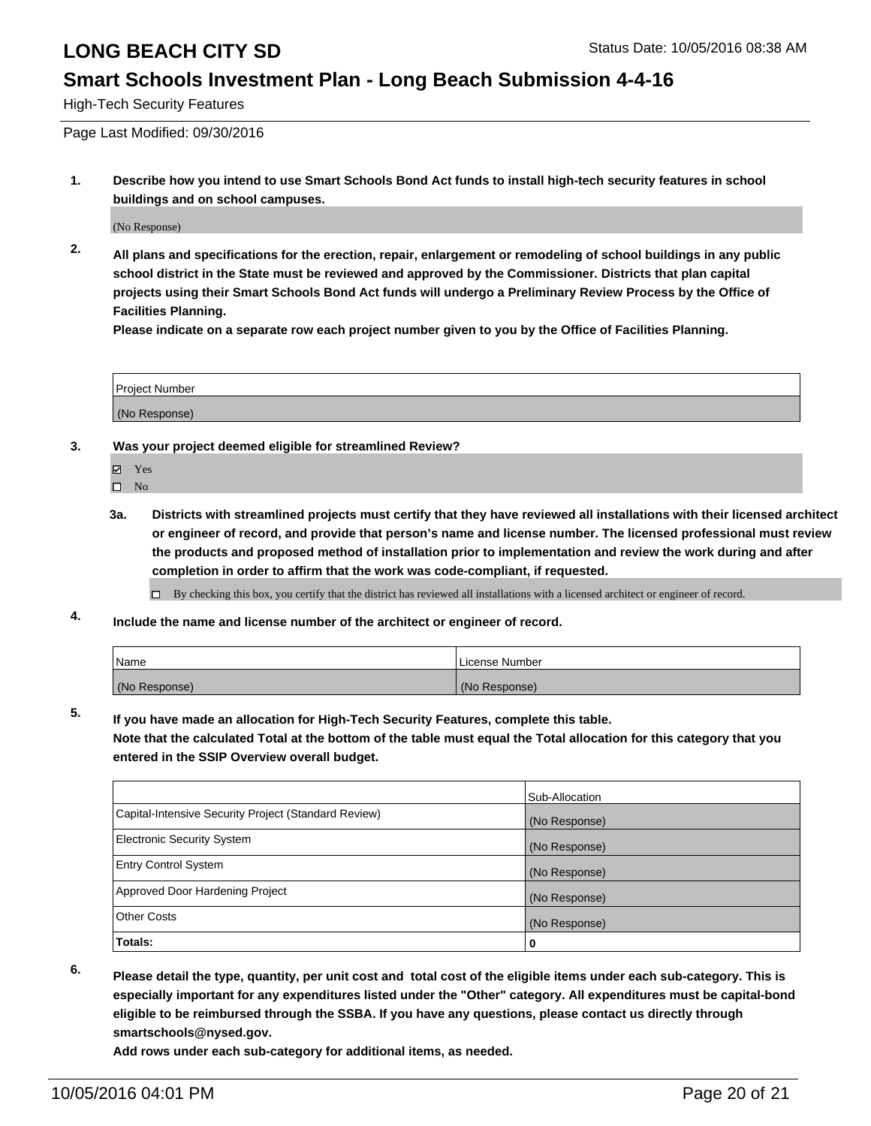#### **Smart Schools Investment Plan - Long Beach Submission 4-4-16**

High-Tech Security Features

Page Last Modified: 09/30/2016

**1. Describe how you intend to use Smart Schools Bond Act funds to install high-tech security features in school buildings and on school campuses.**

(No Response)

**2. All plans and specifications for the erection, repair, enlargement or remodeling of school buildings in any public school district in the State must be reviewed and approved by the Commissioner. Districts that plan capital projects using their Smart Schools Bond Act funds will undergo a Preliminary Review Process by the Office of Facilities Planning.** 

**Please indicate on a separate row each project number given to you by the Office of Facilities Planning.**

| Project Number |  |
|----------------|--|
| (No Response)  |  |

- **3. Was your project deemed eligible for streamlined Review?**
	- Yes
	- $\hfill \square$  No
	- **3a. Districts with streamlined projects must certify that they have reviewed all installations with their licensed architect or engineer of record, and provide that person's name and license number. The licensed professional must review the products and proposed method of installation prior to implementation and review the work during and after completion in order to affirm that the work was code-compliant, if requested.**

By checking this box, you certify that the district has reviewed all installations with a licensed architect or engineer of record.

**4. Include the name and license number of the architect or engineer of record.**

| <b>Name</b>   | License Number |
|---------------|----------------|
| (No Response) | (No Response)  |

**5. If you have made an allocation for High-Tech Security Features, complete this table.**

**Note that the calculated Total at the bottom of the table must equal the Total allocation for this category that you entered in the SSIP Overview overall budget.**

|                                                      | Sub-Allocation |
|------------------------------------------------------|----------------|
| Capital-Intensive Security Project (Standard Review) | (No Response)  |
| <b>Electronic Security System</b>                    | (No Response)  |
| <b>Entry Control System</b>                          | (No Response)  |
| Approved Door Hardening Project                      | (No Response)  |
| <b>Other Costs</b>                                   | (No Response)  |
| Totals:                                              | 0              |

**6. Please detail the type, quantity, per unit cost and total cost of the eligible items under each sub-category. This is especially important for any expenditures listed under the "Other" category. All expenditures must be capital-bond eligible to be reimbursed through the SSBA. If you have any questions, please contact us directly through smartschools@nysed.gov.**

**Add rows under each sub-category for additional items, as needed.**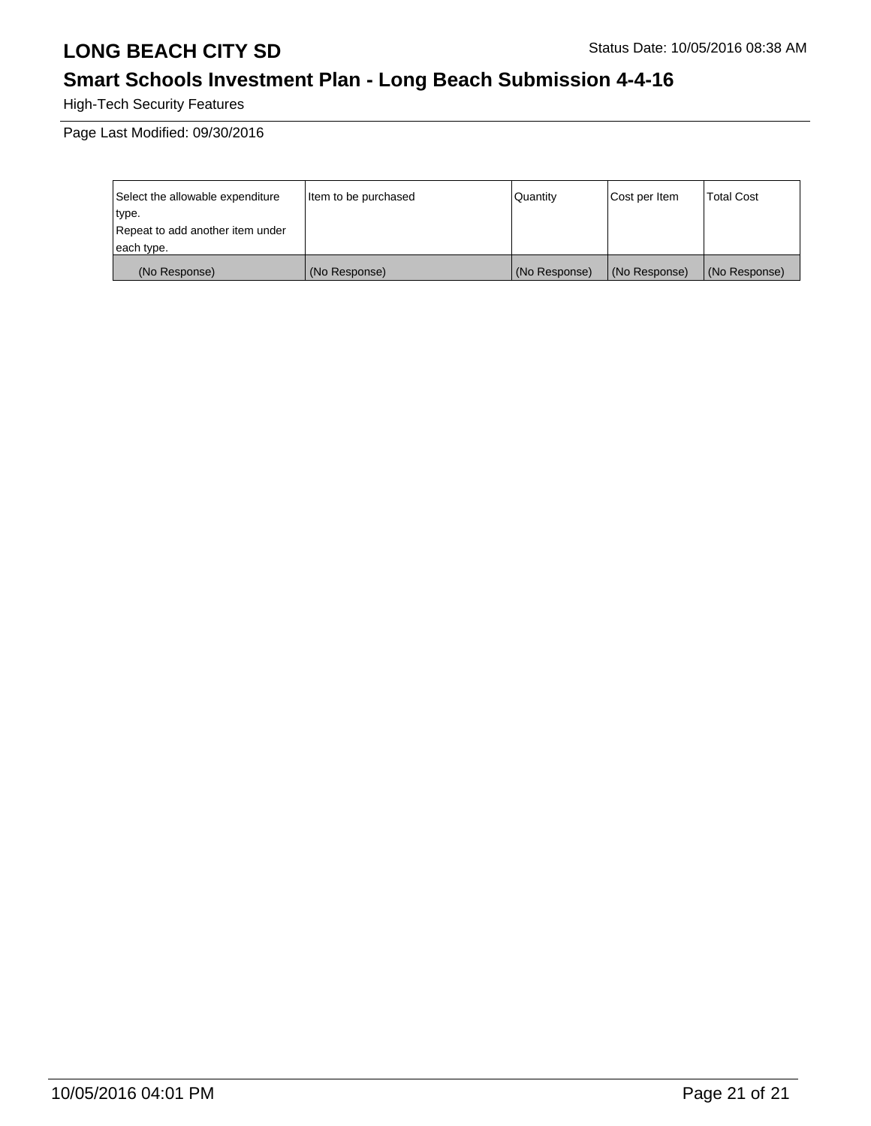# **Smart Schools Investment Plan - Long Beach Submission 4-4-16**

High-Tech Security Features

Page Last Modified: 09/30/2016

| Select the allowable expenditure | Item to be purchased | Quantity      | Cost per Item | Total Cost    |
|----------------------------------|----------------------|---------------|---------------|---------------|
| type.                            |                      |               |               |               |
| Repeat to add another item under |                      |               |               |               |
| each type.                       |                      |               |               |               |
| (No Response)                    | (No Response)        | (No Response) | (No Response) | (No Response) |